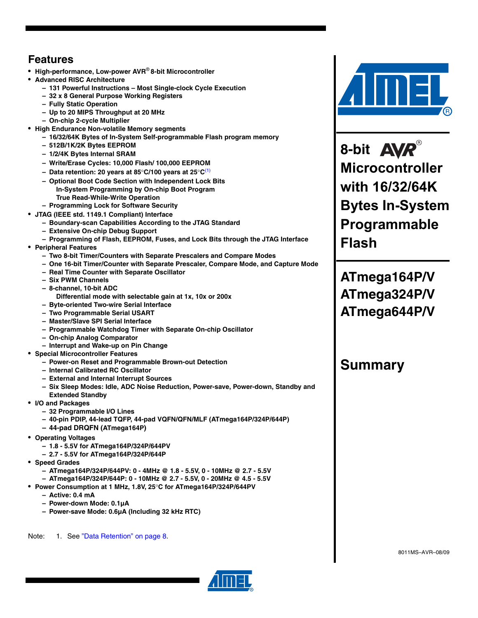## **Features**

- **High-performance, Low-power AVR**® **8-bit Microcontroller**
- **Advanced RISC Architecture**
	- **131 Powerful Instructions Most Single-clock Cycle Execution**
	- **32 x 8 General Purpose Working Registers**
	- **Fully Static Operation**
	- **Up to 20 MIPS Throughput at 20 MHz**
	- **On-chip 2-cycle Multiplier**
- **High Endurance Non-volatile Memory segments**
	- **16/32/64K Bytes of In-System Self-programmable Flash program memory**
	- **512B/1K/2K Bytes EEPROM**
	- **1/2/4K Bytes Internal SRAM**
	- **Write/Erase Cycles: 10,000 Flash/ 100,000 EEPROM**
	- **Data retention: 20 years at 85**°**C/100 years at 25**°**C**[\(1\)](#page-0-0)
	- **Optional Boot Code Section with Independent Lock Bits In-System Programming by On-chip Boot Program True Read-While-Write Operation**
	- **Programming Lock for Software Security**
- **JTAG (IEEE std. 1149.1 Compliant) Interface**
	- **Boundary-scan Capabilities According to the JTAG Standard**
	- **Extensive On-chip Debug Support**
	- **Programming of Flash, EEPROM, Fuses, and Lock Bits through the JTAG Interface**
- **Peripheral Features**
	- **Two 8-bit Timer/Counters with Separate Prescalers and Compare Modes**
	- **One 16-bit Timer/Counter with Separate Prescaler, Compare Mode, and Capture Mode**
	- **Real Time Counter with Separate Oscillator**
	- **Six PWM Channels**
	- **8-channel, 10-bit ADC**
		- **Differential mode with selectable gain at 1x, 10x or 200x**
	- **Byte-oriented Two-wire Serial Interface**
	- **Two Programmable Serial USART**
	- **Master/Slave SPI Serial Interface**
	- **Programmable Watchdog Timer with Separate On-chip Oscillator**
	- **On-chip Analog Comparator**
	- **Interrupt and Wake-up on Pin Change**
- **Special Microcontroller Features**
	- **Power-on Reset and Programmable Brown-out Detection**
	- **Internal Calibrated RC Oscillator**
	- **External and Internal Interrupt Sources**
	- **Six Sleep Modes: Idle, ADC Noise Reduction, Power-save, Power-down, Standby and Extended Standby**
- **I/O and Packages**
	- **32 Programmable I/O Lines**
	- **40-pin PDIP, 44-lead TQFP, 44-pad VQFN/QFN/MLF (ATmega164P/324P/644P)**
	- **44-pad DRQFN (ATmega164P)**
- **Operating Voltages**
	- **1.8 5.5V for ATmega164P/324P/644PV**
	- **2.7 5.5V for ATmega164P/324P/644P**
- **Speed Grades**
	- **ATmega164P/324P/644PV: 0 4MHz @ 1.8 5.5V, 0 10MHz @ 2.7 5.5V**
	- **ATmega164P/324P/644P: 0 10MHz @ 2.7 5.5V, 0 20MHz @ 4.5 5.5V**
- **Power Consumption at 1 MHz, 1.8V, 25**°**C for ATmega164P/324P/644PV**
	- **Active: 0.4 mA**
	- **Power-down Mode: 0.1µA**
	- **Power-save Mode: 0.6µA (Including 32 kHz RTC)**

<span id="page-0-0"></span>Note: 1. See ["Data Retention" on page 8](#page-7-0).



8-bit **AVR**® **Microcontroller with 16/32/64K Bytes In-System Programmable Flash**

**ATmega164P/V ATmega324P/V ATmega644P/V**

## **Summary**

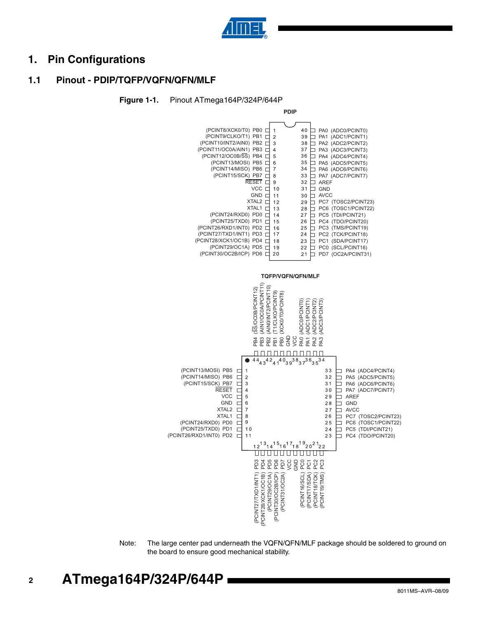

## **1. Pin Configurations**

## **1.1 Pinout - PDIP/TQFP/VQFN/QFN/MLF**





Note: The large center pad underneath the VQFN/QFN/MLF package should be soldered to ground on the board to ensure good mechanical stability.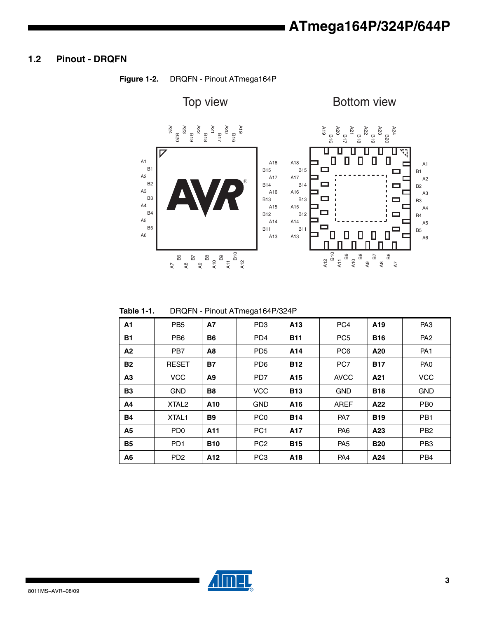## **1.2 Pinout - DRQFN**



**Figure 1-2.** DRQFN - Pinout ATmega164P

| Table 1-1. |  | DRQFN - Pinout ATmega164P/324P |
|------------|--|--------------------------------|
|            |  |                                |

|                |                             |                 | $\check{ }$     |                 |                 |                 |                 |
|----------------|-----------------------------|-----------------|-----------------|-----------------|-----------------|-----------------|-----------------|
| A1             | PB <sub>5</sub>             | <b>A7</b>       | PD <sub>3</sub> | A <sub>13</sub> | PC <sub>4</sub> | A <sub>19</sub> | PA <sub>3</sub> |
| <b>B1</b>      | PB <sub>6</sub>             | <b>B6</b>       | PD <sub>4</sub> | <b>B11</b>      | PC <sub>5</sub> | <b>B16</b>      | PA <sub>2</sub> |
| A <sub>2</sub> | PB <sub>7</sub>             | A8              | PD <sub>5</sub> | A14             | PC <sub>6</sub> | A20             | PA <sub>1</sub> |
| <b>B2</b>      | <b>RESET</b>                | <b>B7</b>       | PD <sub>6</sub> | <b>B12</b>      | PC7             | <b>B17</b>      | PA <sub>0</sub> |
| A <sub>3</sub> | <b>VCC</b>                  | A <sub>9</sub>  | PD7             | A15             | <b>AVCC</b>     | A21             | <b>VCC</b>      |
| <b>B3</b>      | <b>GND</b>                  | <b>B8</b>       | <b>VCC</b>      | <b>B13</b>      | <b>GND</b>      | <b>B18</b>      | <b>GND</b>      |
| A4             | XTAL <sub>2</sub>           | A <sub>10</sub> | <b>GND</b>      | A16             | <b>AREF</b>     | A22             | PB <sub>0</sub> |
| <b>B4</b>      | XTAL <sub>1</sub>           | <b>B9</b>       | PC <sub>0</sub> | <b>B14</b>      | PA7             | <b>B19</b>      | PB <sub>1</sub> |
| <b>A5</b>      | P <sub>D</sub> <sub>0</sub> | A11             | PC <sub>1</sub> | A17             | PA <sub>6</sub> | A <sub>23</sub> | PB <sub>2</sub> |
| <b>B5</b>      | PD <sub>1</sub>             | <b>B10</b>      | PC <sub>2</sub> | <b>B15</b>      | PA <sub>5</sub> | <b>B20</b>      | PB <sub>3</sub> |
| A6             | PD <sub>2</sub>             | A12             | PC <sub>3</sub> | A18             | PA <sub>4</sub> | A24             | PB <sub>4</sub> |

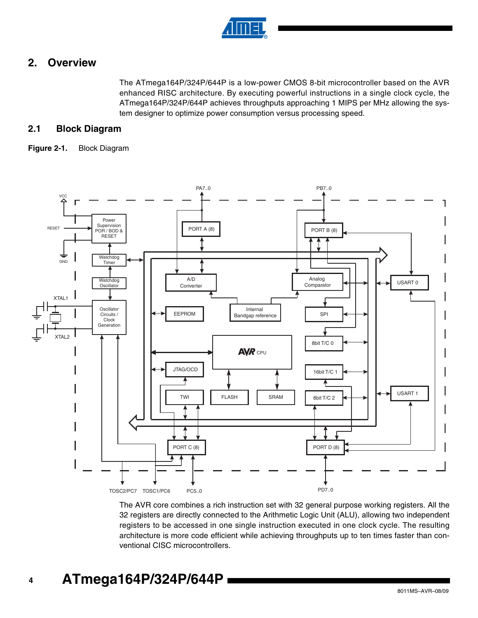

## **2. Overview**

The ATmega164P/324P/644P is a low-power CMOS 8-bit microcontroller based on the AVR enhanced RISC architecture. By executing powerful instructions in a single clock cycle, the ATmega164P/324P/644P achieves throughputs approaching 1 MIPS per MHz allowing the system designer to optimize power consumption versus processing speed.

## **2.1 Block Diagram**

#### **Figure 2-1.** Block Diagram



The AVR core combines a rich instruction set with 32 general purpose working registers. All the 32 registers are directly connected to the Arithmetic Logic Unit (ALU), allowing two independent registers to be accessed in one single instruction executed in one clock cycle. The resulting architecture is more code efficient while achieving throughputs up to ten times faster than conventional CISC microcontrollers.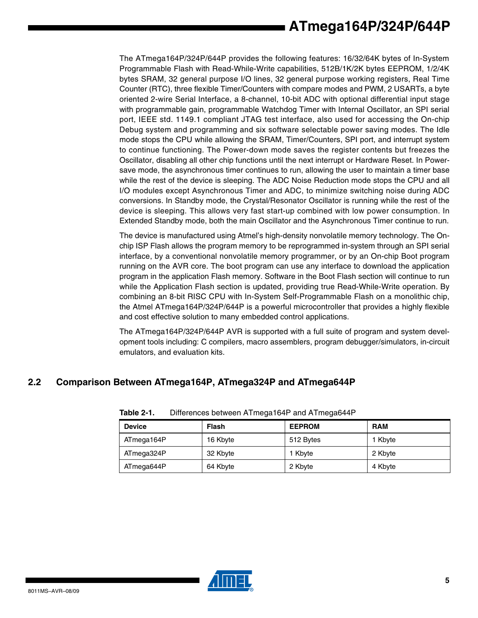The ATmega164P/324P/644P provides the following features: 16/32/64K bytes of In-System Programmable Flash with Read-While-Write capabilities, 512B/1K/2K bytes EEPROM, 1/2/4K bytes SRAM, 32 general purpose I/O lines, 32 general purpose working registers, Real Time Counter (RTC), three flexible Timer/Counters with compare modes and PWM, 2 USARTs, a byte oriented 2-wire Serial Interface, a 8-channel, 10-bit ADC with optional differential input stage with programmable gain, programmable Watchdog Timer with Internal Oscillator, an SPI serial port, IEEE std. 1149.1 compliant JTAG test interface, also used for accessing the On-chip Debug system and programming and six software selectable power saving modes. The Idle mode stops the CPU while allowing the SRAM, Timer/Counters, SPI port, and interrupt system to continue functioning. The Power-down mode saves the register contents but freezes the Oscillator, disabling all other chip functions until the next interrupt or Hardware Reset. In Powersave mode, the asynchronous timer continues to run, allowing the user to maintain a timer base while the rest of the device is sleeping. The ADC Noise Reduction mode stops the CPU and all I/O modules except Asynchronous Timer and ADC, to minimize switching noise during ADC conversions. In Standby mode, the Crystal/Resonator Oscillator is running while the rest of the device is sleeping. This allows very fast start-up combined with low power consumption. In Extended Standby mode, both the main Oscillator and the Asynchronous Timer continue to run.

The device is manufactured using Atmel's high-density nonvolatile memory technology. The Onchip ISP Flash allows the program memory to be reprogrammed in-system through an SPI serial interface, by a conventional nonvolatile memory programmer, or by an On-chip Boot program running on the AVR core. The boot program can use any interface to download the application program in the application Flash memory. Software in the Boot Flash section will continue to run while the Application Flash section is updated, providing true Read-While-Write operation. By combining an 8-bit RISC CPU with In-System Self-Programmable Flash on a monolithic chip, the Atmel ATmega164P/324P/644P is a powerful microcontroller that provides a highly flexible and cost effective solution to many embedded control applications.

The ATmega164P/324P/644P AVR is supported with a full suite of program and system development tools including: C compilers, macro assemblers, program debugger/simulators, in-circuit emulators, and evaluation kits.

## **2.2 Comparison Between ATmega164P, ATmega324P and ATmega644P**

| <b>Device</b> | Flash    | <b>EEPROM</b> | <b>RAM</b> |
|---------------|----------|---------------|------------|
| ATmega164P    | 16 Kbyte | 512 Bytes     | 1 Kbyte    |
| ATmega324P    | 32 Kbyte | 1 Kbyte       | 2 Kbyte    |
| ATmega644P    | 64 Kbyte | 2 Kbyte       | 4 Kbyte    |

**Table 2-1.** Differences between ATmega164P and ATmega644P

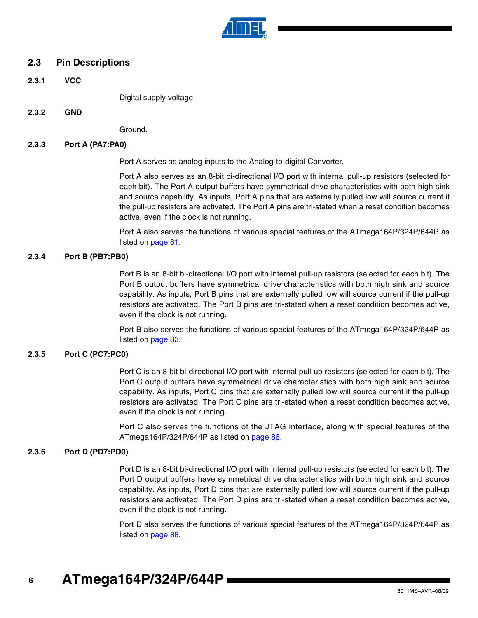

#### **2.3 Pin Descriptions**

**2.3.1 VCC**

Digital supply voltage.

**2.3.2 GND**

Ground.

#### **2.3.3 Port A (PA7:PA0)**

Port A serves as analog inputs to the Analog-to-digital Converter.

Port A also serves as an 8-bit bi-directional I/O port with internal pull-up resistors (selected for each bit). The Port A output buffers have symmetrical drive characteristics with both high sink and source capability. As inputs, Port A pins that are externally pulled low will source current if the pull-up resistors are activated. The Port A pins are tri-stated when a reset condition becomes active, even if the clock is not running.

Port A also serves the functions of various special features of the ATmega164P/324P/644P as listed on page 81.

#### **2.3.4 Port B (PB7:PB0)**

Port B is an 8-bit bi-directional I/O port with internal pull-up resistors (selected for each bit). The Port B output buffers have symmetrical drive characteristics with both high sink and source capability. As inputs, Port B pins that are externally pulled low will source current if the pull-up resistors are activated. The Port B pins are tri-stated when a reset condition becomes active, even if the clock is not running.

Port B also serves the functions of various special features of the ATmega164P/324P/644P as listed on page 83.

#### **2.3.5 Port C (PC7:PC0)**

Port C is an 8-bit bi-directional I/O port with internal pull-up resistors (selected for each bit). The Port C output buffers have symmetrical drive characteristics with both high sink and source capability. As inputs, Port C pins that are externally pulled low will source current if the pull-up resistors are activated. The Port C pins are tri-stated when a reset condition becomes active, even if the clock is not running.

Port C also serves the functions of the JTAG interface, along with special features of the ATmega164P/324P/644P as listed on page 86.

#### **2.3.6 Port D (PD7:PD0)**

Port D is an 8-bit bi-directional I/O port with internal pull-up resistors (selected for each bit). The Port D output buffers have symmetrical drive characteristics with both high sink and source capability. As inputs, Port D pins that are externally pulled low will source current if the pull-up resistors are activated. The Port D pins are tri-stated when a reset condition becomes active, even if the clock is not running.

Port D also serves the functions of various special features of the ATmega164P/324P/644P as listed on page 88.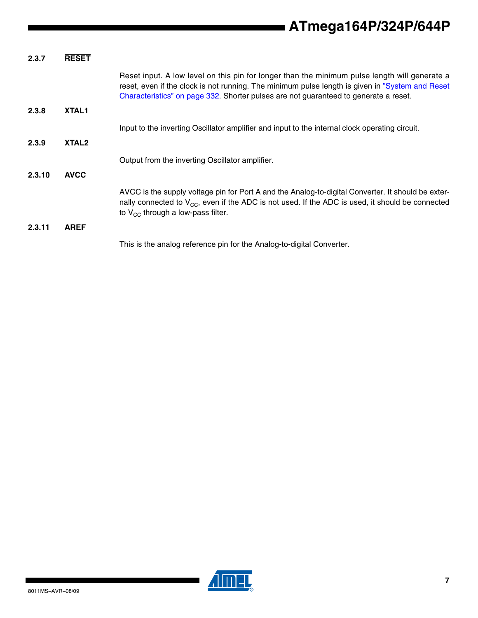| 2.3.7  | <b>RESET</b>      |                                                                                                                                                                                                                                                                                           |
|--------|-------------------|-------------------------------------------------------------------------------------------------------------------------------------------------------------------------------------------------------------------------------------------------------------------------------------------|
|        |                   | Reset input. A low level on this pin for longer than the minimum pulse length will generate a<br>reset, even if the clock is not running. The minimum pulse length is given in "System and Reset"<br>Characteristics" on page 332. Shorter pulses are not guaranteed to generate a reset. |
| 2.3.8  | <b>XTAL1</b>      |                                                                                                                                                                                                                                                                                           |
|        |                   | Input to the inverting Oscillator amplifier and input to the internal clock operating circuit.                                                                                                                                                                                            |
| 2.3.9  | XTAL <sub>2</sub> |                                                                                                                                                                                                                                                                                           |
|        |                   | Output from the inverting Oscillator amplifier.                                                                                                                                                                                                                                           |
| 2.3.10 | <b>AVCC</b>       |                                                                                                                                                                                                                                                                                           |
|        |                   | AVCC is the supply voltage pin for Port A and the Analog-to-digital Converter. It should be exter-<br>nally connected to $V_{CC}$ , even if the ADC is not used. If the ADC is used, it should be connected<br>to $V_{CC}$ through a low-pass filter.                                     |
| 2.3.11 | <b>AREF</b>       |                                                                                                                                                                                                                                                                                           |
|        |                   | This is the analog reference pin for the Analog-to-digital Converter.                                                                                                                                                                                                                     |



 $\mathbf{r}$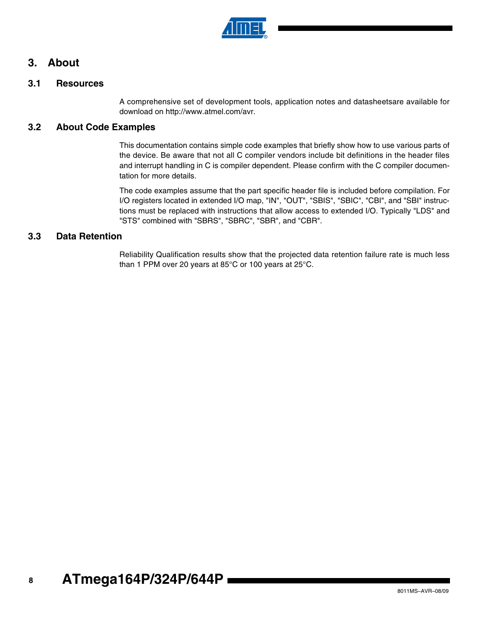

## **3. About**

### **3.1 Resources**

A comprehensive set of development tools, application notes and datasheetsare available for download on http://www.atmel.com/avr.

### **3.2 About Code Examples**

This documentation contains simple code examples that briefly show how to use various parts of the device. Be aware that not all C compiler vendors include bit definitions in the header files and interrupt handling in C is compiler dependent. Please confirm with the C compiler documentation for more details.

The code examples assume that the part specific header file is included before compilation. For I/O registers located in extended I/O map, "IN", "OUT", "SBIS", "SBIC", "CBI", and "SBI" instructions must be replaced with instructions that allow access to extended I/O. Typically "LDS" and "STS" combined with "SBRS", "SBRC", "SBR", and "CBR".

### <span id="page-7-0"></span>**3.3 Data Retention**

Reliability Qualification results show that the projected data retention failure rate is much less than 1 PPM over 20 years at 85°C or 100 years at 25°C.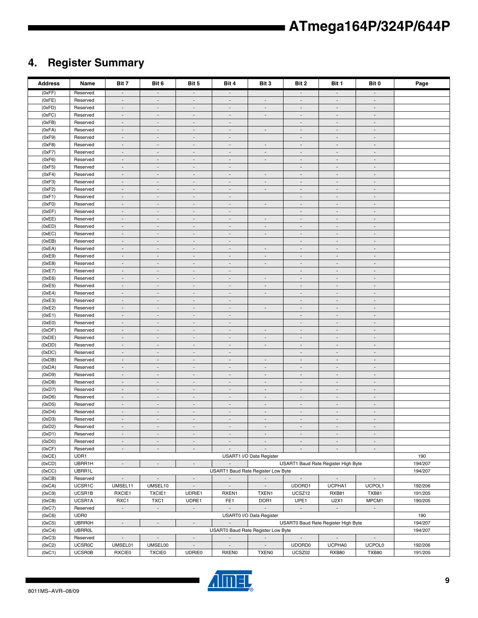## **4. Register Summary**

| <b>Address</b>   | Name                 | Bit 7                                                                                                                                         | Bit 6                                                | Bit 5                                                | Bit 4                                                | Bit 3                              | Bit 2                                                | Bit 1                                                | Bit 0                                                | Page    |
|------------------|----------------------|-----------------------------------------------------------------------------------------------------------------------------------------------|------------------------------------------------------|------------------------------------------------------|------------------------------------------------------|------------------------------------|------------------------------------------------------|------------------------------------------------------|------------------------------------------------------|---------|
| (0xFF)           | Reserved             | $\blacksquare$                                                                                                                                | $\overline{\phantom{a}}$                             | $\overline{\phantom{a}}$                             | $\blacksquare$                                       |                                    | $\overline{\phantom{a}}$                             | $\overline{\phantom{a}}$                             | $\overline{\phantom{a}}$                             |         |
| (0xFE)           | Reserved             | $\overline{\phantom{a}}$                                                                                                                      | $\overline{\phantom{a}}$                             | $\overline{\phantom{a}}$                             | $\overline{\phantom{a}}$                             | $\overline{\phantom{a}}$           | $\overline{\phantom{a}}$                             | $\overline{\phantom{a}}$                             | $\overline{\phantom{a}}$                             |         |
| (0xFD)           | Reserved             | $\sim$                                                                                                                                        | $\overline{\phantom{a}}$                             | $\overline{\phantom{a}}$                             | $\overline{\phantom{a}}$                             | $\overline{\phantom{a}}$           | $\overline{\phantom{a}}$                             | $\sim$                                               | $\overline{\phantom{a}}$                             |         |
| (0xFC)           | Reserved             | $\blacksquare$                                                                                                                                | $\overline{\phantom{a}}$                             | $\blacksquare$                                       | $\overline{\phantom{a}}$                             | $\sim$                             | $\blacksquare$                                       | $\overline{\phantom{a}}$                             | $\overline{\phantom{a}}$                             |         |
| (0xFB)           | Reserved             | $\overline{\phantom{a}}$                                                                                                                      | $\sim$                                               | $\blacksquare$                                       | $\blacksquare$                                       |                                    | $\blacksquare$                                       | $\sim$                                               | $\blacksquare$                                       |         |
| (0xFA)           | Reserved             | $\overline{\phantom{a}}$                                                                                                                      | $\overline{\phantom{a}}$                             | $\overline{\phantom{a}}$                             | $\overline{\phantom{a}}$                             | $\overline{\phantom{a}}$           | $\overline{\phantom{a}}$                             | $\overline{\phantom{a}}$                             | $\overline{\phantom{a}}$                             |         |
| (0xF9)           | Reserved             | $\blacksquare$                                                                                                                                | $\overline{\phantom{a}}$                             | $\frac{1}{2}$                                        | $\overline{\phantom{a}}$                             |                                    | $\overline{\phantom{a}}$                             | $\blacksquare$                                       | $\frac{1}{2}$                                        |         |
| (0xF8)           | Reserved             | $\sim$                                                                                                                                        | $\overline{\phantom{a}}$                             | $\overline{\phantom{a}}$                             | $\overline{\phantom{a}}$                             | $\overline{\phantom{a}}$           | $\overline{\phantom{a}}$                             | $\overline{\phantom{a}}$                             | $\overline{\phantom{a}}$                             |         |
| (0xF7)           | Reserved             | $\overline{\phantom{a}}$                                                                                                                      | $\overline{\phantom{a}}$                             | $\overline{\phantom{a}}$                             | $\overline{\phantom{a}}$                             | $\overline{\phantom{a}}$           | $\overline{\phantom{a}}$                             | $\overline{\phantom{a}}$                             | $\overline{\phantom{a}}$                             |         |
| (0xF6)           | Reserved             | $\overline{\phantom{a}}$                                                                                                                      | $\overline{\phantom{a}}$                             | $\overline{a}$                                       | $\overline{\phantom{a}}$                             | $\overline{\phantom{a}}$           | $\overline{\phantom{a}}$                             | $\blacksquare$                                       | $\blacksquare$                                       |         |
| (0xF5)           | Reserved             | $\overline{\phantom{a}}$                                                                                                                      | $\overline{\phantom{a}}$                             | $\overline{\phantom{a}}$                             | $\overline{\phantom{a}}$                             |                                    | $\overline{\phantom{a}}$                             | $\overline{\phantom{a}}$                             | $\overline{\phantom{a}}$                             |         |
| (0xF4)           | Reserved             | $\overline{\phantom{a}}$                                                                                                                      | $\overline{\phantom{a}}$                             | $\blacksquare$                                       | $\overline{\phantom{a}}$                             | $\overline{\phantom{a}}$           | $\overline{\phantom{a}}$                             | $\overline{\phantom{a}}$                             | $\blacksquare$                                       |         |
| (0xF3)           | Reserved<br>Reserved | $\blacksquare$                                                                                                                                | $\overline{\phantom{a}}$                             | $\overline{\phantom{a}}$                             | $\overline{\phantom{a}}$                             | $\overline{\phantom{a}}$           | $\overline{\phantom{a}}$                             | $\overline{\phantom{a}}$                             | $\overline{\phantom{a}}$                             |         |
| (0xF2)<br>(0xF1) | Reserved             | $\overline{\phantom{a}}$<br>$\blacksquare$                                                                                                    | $\overline{\phantom{a}}$<br>$\overline{\phantom{a}}$ | $\overline{\phantom{a}}$<br>$\overline{\phantom{a}}$ | $\overline{\phantom{a}}$<br>$\overline{\phantom{a}}$ | $\overline{\phantom{a}}$           | $\overline{\phantom{a}}$<br>$\overline{\phantom{a}}$ | $\overline{\phantom{a}}$<br>$\overline{\phantom{a}}$ | $\overline{\phantom{a}}$<br>$\overline{\phantom{a}}$ |         |
| (0xF0)           | Reserved             | $\blacksquare$                                                                                                                                | $\overline{a}$                                       | $\overline{a}$                                       | $\overline{\phantom{a}}$                             | $\overline{\phantom{a}}$           | $\overline{a}$                                       | $\overline{\phantom{a}}$                             | $\overline{\phantom{a}}$                             |         |
| (0xEF)           | Reserved             | $\overline{\phantom{a}}$                                                                                                                      | $\sim$                                               | $\blacksquare$                                       | $\blacksquare$                                       |                                    | $\blacksquare$                                       | $\sim$                                               | $\blacksquare$                                       |         |
| (0xEE)           | Reserved             | $\overline{\phantom{a}}$                                                                                                                      | $\overline{\phantom{a}}$                             | $\overline{\phantom{a}}$                             | $\overline{\phantom{a}}$                             | $\overline{\phantom{a}}$           | $\overline{\phantom{a}}$                             | $\overline{\phantom{a}}$                             | $\overline{\phantom{a}}$                             |         |
| (0xED)           | Reserved             | $\blacksquare$                                                                                                                                | $\overline{\phantom{a}}$                             | $\frac{1}{2}$                                        | $\overline{\phantom{a}}$                             | $\blacksquare$                     | $\blacksquare$                                       | $\blacksquare$                                       | $\blacksquare$                                       |         |
| (0xEC)           | Reserved             | $\sim$                                                                                                                                        | $\overline{\phantom{a}}$                             | $\overline{\phantom{a}}$                             | $\overline{\phantom{a}}$                             | $\overline{\phantom{a}}$           | $\overline{\phantom{a}}$                             | $\overline{\phantom{a}}$                             | $\overline{\phantom{a}}$                             |         |
| (0xEB)           | Reserved             | $\overline{\phantom{a}}$                                                                                                                      | $\overline{\phantom{a}}$                             | $\overline{\phantom{a}}$                             | $\overline{\phantom{a}}$                             |                                    | $\overline{\phantom{a}}$                             | $\overline{\phantom{a}}$                             | $\overline{\phantom{a}}$                             |         |
| (0xEA)           | Reserved             | $\overline{\phantom{a}}$                                                                                                                      | $\overline{a}$                                       | $\overline{a}$                                       | $\overline{\phantom{a}}$                             | $\overline{a}$                     | $\overline{a}$                                       | $\blacksquare$                                       | $\blacksquare$                                       |         |
| (0xE9)           | Reserved             | $\overline{\phantom{a}}$                                                                                                                      | $\overline{\phantom{a}}$                             | $\overline{\phantom{a}}$                             | $\overline{\phantom{a}}$                             | $\overline{\phantom{a}}$           | $\overline{\phantom{a}}$                             | $\overline{\phantom{a}}$                             | $\overline{\phantom{a}}$                             |         |
| (0xE8)           | Reserved             | $\overline{\phantom{a}}$                                                                                                                      | $\overline{\phantom{a}}$                             | $\blacksquare$                                       | $\overline{\phantom{a}}$                             | $\overline{\phantom{a}}$           | $\overline{\phantom{a}}$                             | $\overline{\phantom{a}}$                             | $\blacksquare$                                       |         |
| (0xE7)           | Reserved             | $\overline{\phantom{a}}$                                                                                                                      | $\overline{\phantom{a}}$                             | $\overline{\phantom{a}}$                             | $\overline{\phantom{a}}$                             |                                    | $\overline{\phantom{a}}$                             | $\overline{\phantom{a}}$                             | $\overline{\phantom{a}}$                             |         |
| (0xE6)           | Reserved             | $\overline{\phantom{a}}$                                                                                                                      | $\overline{\phantom{a}}$                             | $\overline{\phantom{a}}$                             | $\overline{\phantom{a}}$                             | $\overline{\phantom{a}}$           | $\overline{\phantom{a}}$                             | $\overline{\phantom{a}}$                             | $\overline{\phantom{a}}$                             |         |
| (0xE5)           | Reserved             | ۰                                                                                                                                             | $\overline{\phantom{a}}$                             | $\overline{\phantom{a}}$                             | $\overline{\phantom{a}}$                             | $\overline{\phantom{a}}$           | $\overline{\phantom{a}}$                             | $\overline{\phantom{a}}$                             | $\overline{\phantom{a}}$                             |         |
| (0xE4)           | Reserved             | $\blacksquare$                                                                                                                                | $\overline{\phantom{a}}$                             | $\overline{a}$                                       | $\overline{\phantom{a}}$                             | $\overline{a}$                     | $\blacksquare$                                       | $\overline{\phantom{a}}$                             | $\overline{\phantom{a}}$                             |         |
| (0xE3)           | Reserved             | $\overline{\phantom{a}}$                                                                                                                      | $\sim$                                               | $\blacksquare$                                       | $\blacksquare$                                       |                                    | $\overline{\phantom{a}}$                             | $\sim$                                               | $\blacksquare$                                       |         |
| (0xE2)           | Reserved             | $\overline{\phantom{a}}$                                                                                                                      | $\overline{\phantom{a}}$                             | $\overline{\phantom{a}}$                             | $\overline{\phantom{a}}$                             | $\overline{\phantom{a}}$           | $\overline{\phantom{a}}$                             | $\overline{\phantom{a}}$                             | $\overline{\phantom{a}}$                             |         |
| (0xE1)           | Reserved             | $\blacksquare$                                                                                                                                | $\overline{\phantom{a}}$                             | $\frac{1}{2}$                                        | $\overline{\phantom{a}}$                             |                                    | $\blacksquare$                                       | $\blacksquare$                                       | $\blacksquare$                                       |         |
| (0xE0)           | Reserved             | $\sim$                                                                                                                                        | $\overline{\phantom{a}}$                             | $\overline{\phantom{a}}$                             | $\overline{\phantom{a}}$                             |                                    | $\overline{\phantom{a}}$                             | $\overline{\phantom{a}}$                             | $\overline{\phantom{a}}$                             |         |
| (0xDF)           | Reserved             | $\overline{\phantom{a}}$                                                                                                                      | $\overline{\phantom{a}}$                             | $\overline{\phantom{a}}$                             | $\overline{\phantom{a}}$                             | $\overline{\phantom{a}}$           | $\overline{\phantom{a}}$                             | $\overline{\phantom{a}}$                             | $\overline{\phantom{a}}$                             |         |
| (0xDE)           | Reserved             | $\overline{\phantom{a}}$                                                                                                                      | $\overline{\phantom{a}}$                             | $\overline{a}$                                       | $\overline{\phantom{a}}$                             | $\overline{a}$                     | $\blacksquare$                                       | $\blacksquare$                                       | $\blacksquare$                                       |         |
| (0xDD)           | Reserved             | $\overline{\phantom{a}}$                                                                                                                      | $\overline{\phantom{a}}$                             | $\overline{\phantom{a}}$                             | $\overline{\phantom{a}}$                             | $\overline{\phantom{a}}$           | $\overline{\phantom{a}}$                             | $\overline{\phantom{a}}$                             | $\overline{\phantom{a}}$                             |         |
| (0xDC)           | Reserved             | $\overline{\phantom{a}}$<br>$\overline{\phantom{a}}$                                                                                          | $\overline{\phantom{a}}$<br>$\overline{\phantom{a}}$ | $\blacksquare$                                       | $\overline{\phantom{a}}$<br>$\overline{\phantom{a}}$ | $\overline{\phantom{a}}$           | $\overline{\phantom{a}}$                             | $\sim$<br>$\overline{\phantom{a}}$                   | $\blacksquare$<br>$\overline{\phantom{a}}$           |         |
| (0xDB)<br>(0xDA) | Reserved<br>Reserved | $\overline{\phantom{a}}$                                                                                                                      | $\overline{\phantom{a}}$                             | $\overline{\phantom{a}}$<br>$\overline{\phantom{a}}$ | $\overline{\phantom{a}}$                             | $\overline{\phantom{a}}$           | $\overline{\phantom{a}}$<br>$\overline{\phantom{a}}$ | $\overline{\phantom{a}}$                             | $\overline{\phantom{a}}$                             |         |
| (0xD9)           | Reserved             | $\blacksquare$                                                                                                                                | $\overline{\phantom{a}}$                             | $\overline{\phantom{a}}$                             | $\overline{\phantom{a}}$                             | $\sim$                             | $\overline{\phantom{a}}$                             | $\overline{\phantom{a}}$                             | $\overline{\phantom{a}}$                             |         |
| (0xD8)           | Reserved             | $\blacksquare$                                                                                                                                | $\overline{\phantom{a}}$                             | $\overline{a}$                                       | $\overline{\phantom{a}}$                             | $\overline{a}$                     | $\blacksquare$                                       | $\overline{\phantom{a}}$                             | $\overline{\phantom{a}}$                             |         |
| (0xD7)           | Reserved             | $\overline{\phantom{a}}$                                                                                                                      | $\sim$                                               | $\blacksquare$                                       | $\blacksquare$                                       | $\sim$                             | $\blacksquare$                                       | $\sim$                                               | $\blacksquare$                                       |         |
| (0xD6)           | Reserved             | $\overline{\phantom{a}}$                                                                                                                      | $\overline{\phantom{a}}$                             | $\overline{\phantom{a}}$                             | $\overline{\phantom{a}}$                             | $\overline{\phantom{a}}$           | $\overline{\phantom{a}}$                             | $\overline{\phantom{a}}$                             | $\overline{\phantom{a}}$                             |         |
| (0xD5)           | Reserved             | $\overline{\phantom{a}}$                                                                                                                      | $\overline{\phantom{a}}$                             | $\overline{\phantom{a}}$                             | $\overline{\phantom{a}}$                             | $\blacksquare$                     | $\overline{\phantom{a}}$                             | $\overline{\phantom{a}}$                             | $\overline{\phantom{a}}$                             |         |
| (0xD4)           | Reserved             | $\sim$                                                                                                                                        | $\overline{\phantom{a}}$                             | $\overline{\phantom{a}}$                             | $\overline{\phantom{a}}$                             | $\overline{\phantom{a}}$           | $\overline{\phantom{a}}$                             | $\overline{\phantom{a}}$                             | $\overline{\phantom{a}}$                             |         |
| (0xD3)           | Reserved             | $\overline{\phantom{a}}$                                                                                                                      | $\overline{\phantom{a}}$                             | $\overline{\phantom{a}}$                             | $\overline{\phantom{a}}$                             | $\overline{\phantom{a}}$           | $\overline{\phantom{a}}$                             | $\overline{\phantom{a}}$                             | $\overline{\phantom{a}}$                             |         |
| (0xD2)           | Reserved             |                                                                                                                                               |                                                      |                                                      |                                                      |                                    |                                                      |                                                      |                                                      |         |
| (0xD1)           | Reserved             | $\overline{\phantom{a}}$                                                                                                                      | $\overline{\phantom{a}}$                             | $\overline{\phantom{a}}$                             | $\overline{\phantom{a}}$                             | $\overline{\phantom{a}}$           | $\overline{\phantom{a}}$                             | $\sim$                                               | $\overline{\phantom{a}}$                             |         |
| (0xD0)           | Reserved             | $\overline{\phantom{a}}$                                                                                                                      | $\overline{\phantom{a}}$                             | $\overline{\phantom{a}}$                             | $\overline{\phantom{a}}$                             | $\overline{\phantom{a}}$           | $\overline{\phantom{a}}$                             | $\overline{\phantom{a}}$                             | $\overline{\phantom{a}}$                             |         |
| (0xCF)           | Reserved             | $\omega_{\rm c}$                                                                                                                              | $\mathcal{L}_{\mathcal{A}}$                          | $\Box$                                               | $\mathbb{L}^2$                                       | $\sim$                             | $\mathcal{L}_{\mathcal{C}}$                          | $\mathcal{L}_{\mathcal{A}}$                          | $\overline{\phantom{a}}$                             |         |
| (0xCE)           | UDR1                 |                                                                                                                                               |                                                      |                                                      |                                                      | USART1 I/O Data Register           |                                                      |                                                      |                                                      | 190     |
| (0xCD)           | UBRR1H               | $\sim$<br>USART1 Baud Rate Register High Byte<br>$\omega_{\rm c}$<br>$\mathcal{L}_{\mathcal{A}}$<br>$\sim$                                    |                                                      |                                                      |                                                      |                                    |                                                      |                                                      | 194/207                                              |         |
| (0xCC)           | UBRR1L               |                                                                                                                                               |                                                      |                                                      | USART1 Baud Rate Register Low Byte                   |                                    |                                                      |                                                      |                                                      | 194/207 |
| (0xCB)           | Reserved             | $\sim$                                                                                                                                        | $\mathcal{L}_{\mathcal{C}}$                          | $\overline{\phantom{a}}$                             | $\sim$                                               | $\sim$                             | $\sim$                                               | $\sim$                                               | $\mathcal{L}_{\mathcal{A}}$                          |         |
| (0xCA)           | UCSR1C               | UMSEL11                                                                                                                                       | UMSEL10                                              | $\overline{\phantom{a}}$                             | $\sim$                                               | $\sim$                             | UDORD1                                               | UCPHA1                                               | UCPOL1                                               | 192/206 |
| (0xC9)           | UCSR1B               | RXCIE1                                                                                                                                        | TXCIE1                                               | UDRIE1                                               | RXEN1                                                | TXEN1                              | UCSZ12                                               | <b>RXB81</b>                                         | <b>TXB81</b>                                         | 191/205 |
| (0xC8)           | UCSR1A               | RXC1                                                                                                                                          | TXC1                                                 | UDRE1                                                | FE <sub>1</sub><br>$\sim$                            | DOR <sub>1</sub>                   | UPE1                                                 | U2X1                                                 | MPCM1                                                | 190/205 |
| (0xC7)           | Reserved<br>UDR0     | $\sim$                                                                                                                                        | $\sim$                                               | $\sim$                                               |                                                      | $\sim$<br>USART0 I/O Data Register | $\sim$                                               | $\sim$                                               | $\sim$                                               | 190     |
| (0xC6)<br>(0xC5) | <b>UBRR0H</b>        | $\sim$                                                                                                                                        | $\overline{\phantom{a}}$                             | $\overline{\phantom{a}}$                             | $\sim$                                               |                                    |                                                      | USART0 Baud Rate Register High Byte                  |                                                      | 194/207 |
| (0xC4)           | <b>UBRR0L</b>        | USART0 Baud Rate Register Low Byte                                                                                                            |                                                      |                                                      |                                                      |                                    |                                                      | 194/207                                              |                                                      |         |
| (0xC3)           | Reserved             | $\mathcal{L}_{\mathcal{A}}$<br>$\sim$<br>$\blacksquare$<br>$\overline{\phantom{a}}$<br>$\sim$<br>$\sim$<br>$\overline{\phantom{a}}$<br>$\sim$ |                                                      |                                                      |                                                      |                                    |                                                      |                                                      |                                                      |         |
| (0xC2)           | <b>UCSR0C</b>        | UMSEL01                                                                                                                                       | UMSEL00                                              | $\blacksquare$                                       | $\sim$                                               | $\sim$                             | UDORD0                                               | UCPHA0                                               | <b>UCPOL0</b>                                        | 192/206 |
| (0xC1)           | <b>UCSR0B</b>        | <b>RXCIE0</b>                                                                                                                                 | <b>TXCIE0</b>                                        | <b>UDRIE0</b>                                        | <b>RXENO</b>                                         | <b>TXEN0</b>                       | UCSZ02                                               | RXB80                                                | <b>TXB80</b>                                         | 191/205 |

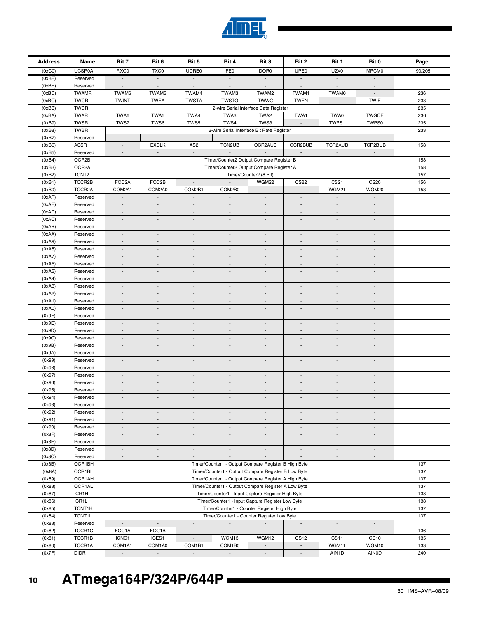| <b>Address</b> | Name              | Bit 7                                                                                                       | Bit 6                                      | Bit 5                     | Bit 4                       | Bit 3                                                | Bit 2                    | Bit 1                       | Bit 0                       | Page    |
|----------------|-------------------|-------------------------------------------------------------------------------------------------------------|--------------------------------------------|---------------------------|-----------------------------|------------------------------------------------------|--------------------------|-----------------------------|-----------------------------|---------|
| (0xC0)         | <b>UCSR0A</b>     | RXC0                                                                                                        | TXC0                                       | UDRE0                     | FE0                         | DOR <sub>0</sub>                                     | UPE0                     | U2X0                        | MPCM0                       | 190/205 |
| (0xBF)         | Reserved          | $\sim$                                                                                                      | $\sim$                                     | $\blacksquare$            | $\overline{\phantom{a}}$    | $\sim$                                               | $\blacksquare$           | $\sim$                      | $\blacksquare$              |         |
| (0xBE)         | Reserved          | $\mathbb{Z}^{\mathbb{Z}}$                                                                                   | $\mathbb{Z}^+$                             | $\mathbb{Z}^{\mathbb{Z}}$ | $\mathcal{L}^{\pm}$         | $\mathbb{Z}^{\mathbb{Z}}$                            | $\mathbb{Z}^+$           | $\sim$                      | $\mathbb{Z}^{\mathbb{Z}}$   |         |
| (0xBD)         | <b>TWAMR</b>      | TWAM6                                                                                                       | TWAM5                                      | TWAM4                     | TWAM3                       | TWAM2                                                | TWAM1                    | <b>TWAM0</b>                | $\blacksquare$              | 236     |
| (0xBC)         | <b>TWCR</b>       | <b>TWINT</b>                                                                                                | <b>TWEA</b>                                | <b>TWSTA</b>              | <b>TWSTO</b>                | <b>TWWC</b>                                          | <b>TWEN</b>              | $\mathcal{L}$               | <b>TWIE</b>                 | 233     |
| (0xBB)         | <b>TWDR</b>       |                                                                                                             |                                            |                           |                             | 2-wire Serial Interface Data Register                |                          |                             |                             | 235     |
| (0xBA)         | <b>TWAR</b>       | TWA6                                                                                                        | TWA5                                       | TWA4                      | TWA3                        | TWA2                                                 | TWA1                     | TWA0                        | <b>TWGCE</b>                | 236     |
| (0xB9)         | <b>TWSR</b>       | TWS7                                                                                                        | TWS6                                       | TWS5                      | TWS4                        | TWS3                                                 | $\blacksquare$           | TWPS1                       | TWPS0                       | 235     |
|                |                   |                                                                                                             |                                            |                           |                             |                                                      |                          |                             |                             |         |
| (0xB8)         | <b>TWBR</b>       |                                                                                                             |                                            |                           |                             | 2-wire Serial Interface Bit Rate Register            |                          |                             |                             | 233     |
| (0xB7)         | Reserved          | $\blacksquare$                                                                                              | $\mathcal{L}_{\mathcal{A}}$                | $\blacksquare$            | $\sim$                      | $\mathbb{Z}^2$                                       | $\overline{\phantom{a}}$ | $\mathcal{L}_{\mathcal{A}}$ | $\overline{\phantom{a}}$    |         |
| (0xB6)         | <b>ASSR</b>       | $\overline{\phantom{a}}$                                                                                    | <b>EXCLK</b>                               | AS <sub>2</sub>           | TCN2UB                      | OCR2AUB                                              | OCR2BUB                  | TCR2AUB                     | TCR2BUB                     | 158     |
| (0xB5)         | Reserved          |                                                                                                             | $\overline{\phantom{a}}$                   |                           |                             |                                                      |                          | $\overline{\phantom{a}}$    |                             |         |
| (0xB4)         | OCR2B             |                                                                                                             |                                            |                           |                             | Timer/Counter2 Output Compare Register B             |                          |                             |                             | 158     |
| (0xB3)         | OCR2A             |                                                                                                             |                                            |                           |                             | Timer/Counter2 Output Compare Register A             |                          |                             |                             | 158     |
| (0xB2)         | TCNT <sub>2</sub> |                                                                                                             |                                            |                           |                             | Timer/Counter2 (8 Bit)                               |                          |                             |                             | 157     |
| (0xB1)         | TCCR2B            | FOC2A                                                                                                       | FOC2B                                      | $\overline{\phantom{a}}$  | $\sim$                      | WGM22                                                | <b>CS22</b>              | CS21                        | <b>CS20</b>                 | 156     |
| (0xB0)         | TCCR2A            | COM2A1                                                                                                      | COM2A0                                     | COM2B1                    | COM2B0                      | $\mathcal{L}$                                        | $\Box$                   | WGM21                       | WGM20                       | 153     |
| (0xAF)         | Reserved          |                                                                                                             | $\centerdot$                               |                           |                             | $\overline{\phantom{a}}$                             | $\overline{\phantom{a}}$ |                             |                             |         |
| (0xAE)         | Reserved          |                                                                                                             | $\overline{a}$                             |                           |                             |                                                      |                          |                             |                             |         |
| (0xAD)         | Reserved          | $\mathcal{L}_{\mathcal{A}}$                                                                                 | $\overline{\phantom{a}}$                   | $\overline{\phantom{a}}$  | $\overline{\phantom{a}}$    | $\sim$                                               | $\overline{\phantom{a}}$ | $\blacksquare$              | $\overline{\phantom{a}}$    |         |
| (0xAC)         | Reserved          | $\blacksquare$                                                                                              | $\blacksquare$                             | $\overline{\phantom{a}}$  | $\blacksquare$              | $\sim$                                               | $\overline{\phantom{a}}$ | $\blacksquare$              | $\blacksquare$              |         |
| (0xAB)         | Reserved          | $\blacksquare$                                                                                              | $\overline{\phantom{a}}$                   | $\overline{\phantom{a}}$  | $\overline{\phantom{a}}$    | $\blacksquare$                                       | $\overline{\phantom{a}}$ | $\overline{\phantom{a}}$    | $\blacksquare$              |         |
| (0xAA)         | Reserved          | $\blacksquare$                                                                                              | $\overline{\phantom{a}}$                   | $\overline{\phantom{a}}$  | $\blacksquare$              | $\sim$                                               | $\overline{\phantom{a}}$ | $\overline{\phantom{a}}$    | $\overline{\phantom{a}}$    |         |
| (0xA9)         | Reserved          | $\blacksquare$                                                                                              | $\centerdot$                               |                           | $\overline{\phantom{a}}$    | $\overline{\phantom{a}}$                             |                          |                             |                             |         |
|                | Reserved          | $\blacksquare$                                                                                              | $\overline{a}$                             | $\overline{\phantom{a}}$  | $\overline{\phantom{a}}$    | $\blacksquare$                                       | $\blacksquare$           | $\blacksquare$              | $\blacksquare$              |         |
| (0xA8)         |                   |                                                                                                             |                                            |                           |                             |                                                      |                          |                             |                             |         |
| (0xA7)         | Reserved          | $\blacksquare$                                                                                              | $\overline{\phantom{a}}$                   | $\overline{\phantom{a}}$  | $\overline{\phantom{a}}$    | $\overline{\phantom{a}}$                             | $\overline{\phantom{a}}$ | $\overline{\phantom{a}}$    | $\overline{\phantom{a}}$    |         |
| (0xA6)         | Reserved          | $\overline{\phantom{a}}$                                                                                    | $\overline{\phantom{a}}$                   | $\blacksquare$            | $\sim$                      | $\sim$                                               | $\sim$                   | $\overline{\phantom{a}}$    | $\sim$                      |         |
| (0xA5)         | Reserved          | $\blacksquare$                                                                                              | $\overline{a}$                             | $\overline{\phantom{a}}$  | $\overline{\phantom{a}}$    | $\overline{\phantom{a}}$                             | $\overline{\phantom{a}}$ | $\overline{\phantom{a}}$    | $\blacksquare$              |         |
| (0xA4)         | Reserved          | $\blacksquare$                                                                                              | $\overline{\phantom{a}}$                   | $\overline{\phantom{a}}$  | $\blacksquare$              | $\blacksquare$                                       | $\overline{\phantom{a}}$ | $\blacksquare$              | $\blacksquare$              |         |
| (0xA3)         | Reserved          | $\overline{\phantom{a}}$                                                                                    | $\overline{\phantom{a}}$                   | $\overline{\phantom{a}}$  | $\overline{\phantom{a}}$    | $\overline{\phantom{a}}$                             | $\overline{\phantom{a}}$ | $\overline{\phantom{a}}$    | $\overline{\phantom{a}}$    |         |
| (0xA2)         | Reserved          |                                                                                                             | $\overline{a}$                             |                           | $\overline{\phantom{a}}$    | $\overline{a}$                                       |                          |                             |                             |         |
| (0xA1)         | Reserved          | $\overline{\phantom{a}}$                                                                                    | $\overline{\phantom{a}}$                   | $\overline{\phantom{a}}$  | $\sim$                      | $\sim$                                               | $\overline{\phantom{a}}$ | $\overline{\phantom{a}}$    | $\overline{\phantom{a}}$    |         |
| (0xA0)         | Reserved          | $\blacksquare$                                                                                              | $\overline{\phantom{a}}$                   | $\overline{\phantom{a}}$  | $\blacksquare$              | $\sim$                                               | $\overline{\phantom{a}}$ | $\blacksquare$              | $\blacksquare$              |         |
| (0x9F)         | Reserved          | $\blacksquare$                                                                                              | $\overline{\phantom{a}}$                   | $\overline{\phantom{a}}$  | $\overline{\phantom{a}}$    | $\overline{a}$                                       | $\overline{\phantom{a}}$ | $\overline{\phantom{a}}$    | $\overline{\phantom{a}}$    |         |
| (0x9E)         | Reserved          | $\overline{\phantom{a}}$                                                                                    | $\overline{\phantom{a}}$                   | $\overline{\phantom{a}}$  | $\blacksquare$              | $\sim$                                               | $\overline{\phantom{a}}$ | $\overline{\phantom{a}}$    | $\overline{\phantom{a}}$    |         |
| (0x9D)         | Reserved          |                                                                                                             |                                            |                           | $\overline{\phantom{a}}$    |                                                      |                          |                             |                             |         |
| (0x9C)         | Reserved          | $\blacksquare$                                                                                              | $\blacksquare$                             | $\overline{\phantom{a}}$  | $\overline{\phantom{a}}$    | $\blacksquare$                                       | $\overline{\phantom{a}}$ | $\overline{\phantom{a}}$    | $\overline{\phantom{a}}$    |         |
| (0x9B)         | Reserved          | $\blacksquare$                                                                                              | $\overline{\phantom{a}}$                   | $\overline{\phantom{a}}$  | $\overline{\phantom{a}}$    | $\overline{\phantom{a}}$                             | $\overline{\phantom{a}}$ | $\blacksquare$              | $\overline{\phantom{a}}$    |         |
| (0x9A)         | Reserved          | $\overline{\phantom{a}}$                                                                                    | $\overline{\phantom{a}}$                   | $\blacksquare$            | $\sim$                      | $\sim$                                               | $\overline{\phantom{a}}$ | $\overline{\phantom{a}}$    | $\mathcal{L}^{\mathcal{L}}$ |         |
| (0x99)         | Reserved          | $\blacksquare$                                                                                              | $\overline{a}$                             | $\overline{\phantom{a}}$  | $\overline{\phantom{a}}$    | $\overline{\phantom{a}}$                             | $\overline{\phantom{a}}$ | $\overline{\phantom{a}}$    | $\blacksquare$              |         |
| (0x98)         | Reserved          | $\blacksquare$                                                                                              | $\overline{\phantom{a}}$                   | $\overline{\phantom{a}}$  | $\blacksquare$              | $\blacksquare$                                       | $\overline{\phantom{a}}$ | $\blacksquare$              | $\blacksquare$              |         |
| (0x97)         | Reserved          | $\overline{\phantom{a}}$                                                                                    | $\overline{\phantom{a}}$                   | $\overline{\phantom{a}}$  | $\overline{\phantom{a}}$    | $\overline{\phantom{a}}$                             | $\overline{\phantom{a}}$ | $\overline{\phantom{a}}$    | $\overline{\phantom{a}}$    |         |
|                | Reserved          |                                                                                                             |                                            |                           |                             | $\overline{a}$                                       |                          |                             |                             |         |
| (0x96)         |                   |                                                                                                             | $\overline{a}$                             |                           |                             |                                                      |                          |                             |                             |         |
| (0x95)         | Reserved          | $\blacksquare$                                                                                              | $\overline{\phantom{a}}$                   | $\overline{\phantom{a}}$  | $\overline{\phantom{a}}$    | $\overline{\phantom{a}}$                             | $\overline{\phantom{a}}$ | $\overline{\phantom{a}}$    | $\overline{\phantom{a}}$    |         |
| (0x94)         | Reserved          | $\overline{a}$                                                                                              | $\overline{\phantom{a}}$                   | $\blacksquare$            | $\blacksquare$              | $\blacksquare$                                       | $\overline{\phantom{a}}$ | $\overline{\phantom{a}}$    | $\blacksquare$              |         |
| (0x93)         | Reserved          | $\overline{\phantom{a}}$                                                                                    | $\overline{a}$                             | $\overline{\phantom{a}}$  | $\overline{\phantom{a}}$    | $\overline{a}$                                       | $\overline{\phantom{a}}$ | $\overline{\phantom{a}}$    | $\overline{\phantom{a}}$    |         |
| (0x92)         | Reserved          | $\overline{\phantom{a}}$                                                                                    |                                            |                           |                             |                                                      |                          |                             |                             |         |
| (0x91)         | Reserved          |                                                                                                             | $\centerdot$                               |                           | $\overline{\phantom{a}}$    | $\overline{\phantom{a}}$                             | $\overline{\phantom{a}}$ | $\overline{\phantom{a}}$    | $\overline{\phantom{a}}$    |         |
| (0x90)         | Reserved          | $\overline{\phantom{a}}$                                                                                    | $\overline{\phantom{a}}$                   | $\overline{\phantom{a}}$  | $\overline{\phantom{a}}$    | $\overline{\phantom{a}}$                             | $\overline{\phantom{a}}$ | $\overline{\phantom{a}}$    | $\overline{\phantom{a}}$    |         |
| (0x8F)         | Reserved          | $\blacksquare$                                                                                              | $\overline{\phantom{a}}$                   | $\overline{\phantom{a}}$  | $\overline{\phantom{a}}$    | $\overline{\phantom{a}}$                             | $\overline{\phantom{a}}$ | $\blacksquare$              | $\overline{\phantom{a}}$    |         |
| (0x8E)         | Reserved          | $\mathbb{Z}^{\mathbb{Z}}$                                                                                   | $\overline{\phantom{a}}$                   | $\blacksquare$            | $\mathcal{L}_{\mathcal{A}}$ | $\mathcal{L}_{\mathcal{A}}$                          | $\overline{\phantom{a}}$ | $\mathcal{L}_{\mathcal{A}}$ | $\blacksquare$              |         |
| (0x8D)         | Reserved          | $\blacksquare$                                                                                              | $\overline{\phantom{a}}$                   | $\overline{\phantom{a}}$  | $\overline{\phantom{a}}$    | $\blacksquare$                                       | $\overline{\phantom{a}}$ | $\blacksquare$              | $\blacksquare$              |         |
| (0x8C)         | Reserved          | $\overline{\phantom{a}}$                                                                                    | $\blacksquare$                             | $\blacksquare$            | $\blacksquare$              |                                                      |                          | $\mathcal{L}_{\mathcal{A}}$ | $\mathbb{Z}^+$              |         |
| (0x8B)         | OCR1BH            |                                                                                                             |                                            |                           |                             | Timer/Counter1 - Output Compare Register B High Byte |                          |                             |                             | 137     |
| (0x8A)         | OCR1BL            |                                                                                                             |                                            |                           |                             | Timer/Counter1 - Output Compare Register B Low Byte  |                          |                             |                             | 137     |
| (0x89)         | OCR1AH            |                                                                                                             |                                            |                           |                             |                                                      |                          |                             |                             | 137     |
| (0x88)         | OCR1AL            | Timer/Counter1 - Output Compare Register A High Byte<br>Timer/Counter1 - Output Compare Register A Low Byte |                                            |                           |                             |                                                      |                          |                             | 137                         |         |
| (0x87)         | ICR1H             |                                                                                                             |                                            |                           |                             |                                                      |                          |                             | 138                         |         |
| (0x86)         | ICR1L             | Timer/Counter1 - Input Capture Register High Byte<br>Timer/Counter1 - Input Capture Register Low Byte       |                                            |                           |                             |                                                      |                          |                             | 138                         |         |
|                |                   | Timer/Counter1 - Counter Register High Byte                                                                 |                                            |                           |                             |                                                      |                          |                             |                             |         |
| (0x85)         | TCNT1H            |                                                                                                             | Timer/Counter1 - Counter Register Low Byte |                           |                             |                                                      |                          |                             |                             | 137     |
| (0x84)         | TCNT1L            |                                                                                                             |                                            |                           |                             |                                                      |                          |                             |                             | 137     |
| (0x83)         | Reserved          | $\sim$                                                                                                      | $\overline{\phantom{a}}$                   | $\overline{\phantom{a}}$  | $\sim$                      | $\overline{\phantom{a}}$                             | $\overline{\phantom{a}}$ | $\overline{\phantom{a}}$    | $\overline{\phantom{a}}$    |         |
| (0x82)         | TCCR1C            | FOC1A                                                                                                       | FOC1B                                      | $\overline{\phantom{a}}$  | $\mathbb{Z}^{\mathbb{Z}}$   | $\mathcal{L}^{\pm}$                                  | $\mathbb{Z}^+$           | $\sim$                      | $\mathbb{Z}^+$              | 136     |
| (0x81)         | TCCR1B            | ICNC1                                                                                                       | ICES1                                      | $\overline{\phantom{a}}$  | WGM13                       | WGM12                                                | CS <sub>12</sub>         | CS <sub>11</sub>            | <b>CS10</b>                 | 135     |
| (0x80)         | TCCR1A            | COM1A1                                                                                                      | COM1A0                                     | COM1B1                    | COM1B0                      | $\sim$                                               | $\sim$                   | WGM11                       | WGM10                       | 133     |
| (0x7F)         | DIDR1             |                                                                                                             | $\overline{\phantom{a}}$                   |                           | $\Box$                      | $\overline{\phantom{a}}$                             | $\overline{\phantom{a}}$ | AIN1D                       | <b>AINOD</b>                | 240     |

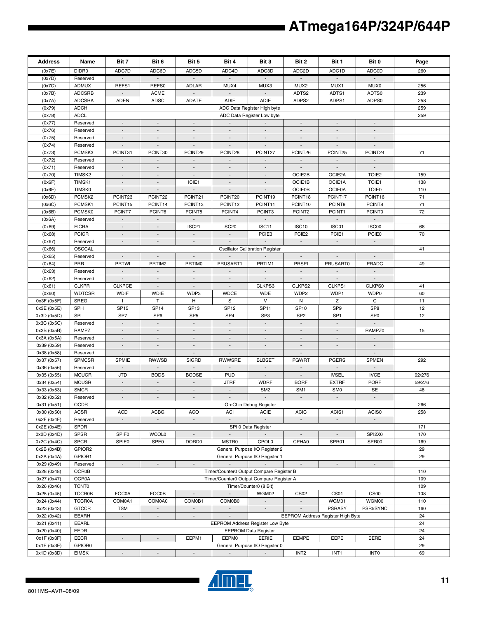| <b>Address</b>             | Name                     | Bit 7                                                                                                                                             | Bit 6                              | Bit 5                              | Bit 4                                    | Bit 3                                  | Bit 2                                                | Bit 1                       | Bit 0                             | Page   |
|----------------------------|--------------------------|---------------------------------------------------------------------------------------------------------------------------------------------------|------------------------------------|------------------------------------|------------------------------------------|----------------------------------------|------------------------------------------------------|-----------------------------|-----------------------------------|--------|
| (0x7E)                     | DIDR0                    | ADC7D                                                                                                                                             | ADC6D                              | ADC5D                              | ADC4D                                    | ADC3D                                  | ADC2D                                                | ADC1D                       | <b>ADC0D</b>                      | 260    |
| (0x7D)                     | Reserved                 |                                                                                                                                                   | $\overline{\phantom{a}}$           |                                    |                                          |                                        |                                                      |                             |                                   |        |
| (0x7C)                     | <b>ADMUX</b>             | REFS1                                                                                                                                             | REFS0                              | <b>ADLAR</b>                       | MUX4                                     | MUX3                                   | MUX2                                                 | MUX1                        | MUX0                              | 256    |
| (0x7B)                     | <b>ADCSRB</b>            | $\sim$                                                                                                                                            | <b>ACME</b>                        | $\blacksquare$                     | $\sim$                                   | $\sim$                                 | ADTS2                                                | ADTS1                       | ADTS0                             | 239    |
| (0x7A)                     | <b>ADCSRA</b>            | <b>ADEN</b>                                                                                                                                       | <b>ADSC</b>                        | <b>ADATE</b>                       | <b>ADIF</b>                              | ADIE                                   | ADPS2                                                | ADPS1                       | ADPS0                             | 258    |
| (0x79)                     | <b>ADCH</b>              |                                                                                                                                                   |                                    |                                    |                                          | ADC Data Register High byte            |                                                      |                             |                                   | 259    |
| (0x78)                     | <b>ADCL</b><br>Reserved  | $\overline{\phantom{a}}$                                                                                                                          | $\overline{\phantom{a}}$           |                                    |                                          | ADC Data Register Low byte             |                                                      | $\overline{\phantom{a}}$    |                                   | 259    |
| (0x77)<br>(0x76)           | Reserved                 | $\sim$                                                                                                                                            | $\overline{\phantom{a}}$           | $\overline{a}$                     |                                          | $\overline{\phantom{a}}$               | $\overline{\phantom{a}}$<br>$\overline{\phantom{a}}$ | $\sim$                      | $\overline{a}$                    |        |
| (0x75)                     | Reserved                 | $\mathbb{Z}^{\times}$                                                                                                                             | $\overline{\phantom{a}}$           | $\overline{\phantom{a}}$           | $\blacksquare$                           | $\blacksquare$                         | $\blacksquare$                                       | $\mathcal{L}_{\mathcal{A}}$ | $\overline{\phantom{a}}$          |        |
| (0x74)                     | Reserved                 | $\blacksquare$                                                                                                                                    | $\overline{\phantom{a}}$           | $\blacksquare$                     | $\overline{\phantom{a}}$                 | $\sim$                                 | $\overline{\phantom{a}}$                             | $\overline{\phantom{a}}$    | $\overline{\phantom{a}}$          |        |
| (0x73)                     | PCMSK3                   | PCINT31                                                                                                                                           | PCINT30                            | PCINT29                            | PCINT28                                  | PCINT27                                | PCINT26                                              | PCINT25                     | PCINT24                           | 71     |
| (0x72)                     | Reserved                 | $\overline{\phantom{a}}$                                                                                                                          | $\overline{\phantom{a}}$           | $\overline{\phantom{a}}$           |                                          | $\overline{\phantom{a}}$               | $\overline{\phantom{a}}$                             | $\overline{\phantom{a}}$    |                                   |        |
| (0x71)                     | Reserved                 |                                                                                                                                                   |                                    |                                    |                                          |                                        |                                                      |                             |                                   |        |
| (0x70)                     | TIMSK2                   | $\blacksquare$                                                                                                                                    | $\overline{\phantom{a}}$           | $\blacksquare$                     | $\sim$                                   | $\overline{\phantom{a}}$               | OCIE2B                                               | OCIE2A                      | TOIE <sub>2</sub>                 | 159    |
| (0x6F)                     | TIMSK1                   | $\blacksquare$                                                                                                                                    | $\overline{\phantom{a}}$           | ICIE1                              |                                          | $\overline{\phantom{a}}$               | OCIE1B                                               | OCIE1A                      | TOIE1                             | 138    |
| (0x6E)                     | <b>TIMSK0</b>            | $\sim$                                                                                                                                            | $\blacksquare$                     | $\overline{a}$                     | $\blacksquare$                           | $\blacksquare$                         | <b>OCIE0B</b>                                        | <b>OCIE0A</b>               | <b>TOIE0</b>                      | 110    |
| (0x6D)                     | PCMSK2                   | PCINT23                                                                                                                                           | PCINT22                            | PCINT21                            | PCINT20                                  | PCINT19                                | PCINT18                                              | PCINT17                     | PCINT16                           | 71     |
| (0x6C)                     | PCMSK1<br>PCMSK0         | PCINT15                                                                                                                                           | PCINT14                            | PCINT13                            | PCINT12                                  | PCINT11                                | PCINT10                                              | PCINT9                      | PCINT8<br><b>PCINT0</b>           | 71     |
| (0x6B)                     |                          | PCINT7<br>$\sim$                                                                                                                                  | PCINT6<br>$\overline{\phantom{a}}$ | PCINT5<br>$\overline{\phantom{a}}$ | PCINT4<br>$\sim$                         | PCINT3<br>$\sim$                       | PCINT <sub>2</sub><br>$\overline{\phantom{a}}$       | PCINT1<br>$\sim$            | $\blacksquare$                    | 72     |
| (0x6A)<br>(0x69)           | Reserved<br><b>EICRA</b> | $\mathbb{Z}^{\times}$                                                                                                                             | $\mathbb{L}^+$                     | ISC21                              | ISC <sub>20</sub>                        | ISC11                                  | ISC <sub>10</sub>                                    | ISC01                       | ISC00                             | 68     |
| (0x68)                     | <b>PCICR</b>             | $\overline{\phantom{a}}$                                                                                                                          | $\overline{\phantom{a}}$           | $\overline{\phantom{a}}$           |                                          | PCIE <sub>3</sub>                      | PCIE <sub>2</sub>                                    | PCIE1                       | PCIE0                             | 70     |
| (0x67)                     | Reserved                 | $\mathcal{L}_{\mathcal{A}}$                                                                                                                       | $\overline{a}$                     | $\overline{\phantom{a}}$           |                                          |                                        | $\mathcal{L}$                                        | $\sim$                      | $\mathbb{Z}^2$                    |        |
| (0x66)                     | OSCCAL                   |                                                                                                                                                   |                                    |                                    |                                          | <b>Oscillator Calibration Register</b> |                                                      |                             |                                   | 41     |
| (0x65)                     | Reserved                 | $\sim$                                                                                                                                            | $\overline{\phantom{a}}$           |                                    |                                          |                                        | $\blacksquare$                                       | $\sim$                      | $\overline{\phantom{a}}$          |        |
| (0x64)                     | PRR                      | <b>PRTWI</b>                                                                                                                                      | PRTIM2                             | PRTIM0                             | PRUSART1                                 | PRTIM1                                 | <b>PRSPI</b>                                         | <b>PRUSART0</b>             | PRADC                             | 49     |
| (0x63)                     | Reserved                 | $\sim$                                                                                                                                            | $\overline{a}$                     | $\blacksquare$                     | $\sim$                                   | $\sim$                                 | $\blacksquare$                                       | $\sim$                      | $\blacksquare$                    |        |
| (0x62)                     | Reserved                 | $\blacksquare$                                                                                                                                    | $\blacksquare$                     | $\overline{\phantom{a}}$           |                                          | $\blacksquare$                         | $\blacksquare$                                       |                             | $\blacksquare$                    |        |
| (0x61)                     | <b>CLKPR</b>             | <b>CLKPCE</b>                                                                                                                                     | $\overline{\phantom{a}}$           | $\overline{\phantom{a}}$           | $\overline{\phantom{a}}$                 | CLKPS3                                 | CLKPS2                                               | CLKPS1                      | CLKPS0                            | 41     |
| (0x60)                     | <b>WDTCSR</b>            | <b>WDIF</b>                                                                                                                                       | <b>WDIE</b>                        | WDP3                               | <b>WDCE</b>                              | <b>WDE</b>                             | WDP2                                                 | WDP1                        | WDP0                              | 60     |
| 0x3F (0x5F)                | <b>SREG</b>              | $\mathbf{I}$                                                                                                                                      | T                                  | н                                  | S                                        | V                                      | Ν                                                    | Ζ                           | C                                 | 11     |
| 0x3E (0x5E)                | SPH                      | <b>SP15</b>                                                                                                                                       | <b>SP14</b>                        | SP <sub>13</sub>                   | <b>SP12</b>                              | <b>SP11</b>                            | <b>SP10</b>                                          | SP <sub>9</sub>             | SP <sub>8</sub>                   | 12     |
| 0x3D (0x5D)<br>0x3C (0x5C) | SPL<br>Reserved          | SP7<br>$\blacksquare$                                                                                                                             | SP <sub>6</sub><br>$\sim$          | SP <sub>5</sub><br>$\sim$          | SP <sub>4</sub>                          | SP <sub>3</sub><br>$\sim$              | SP <sub>2</sub><br>$\blacksquare$                    | SP <sub>1</sub>             | SP <sub>0</sub><br>$\blacksquare$ | 12     |
| 0x3B (0x5B)                | RAMPZ                    | $\mathcal{L}_{\mathcal{A}}$                                                                                                                       | $\overline{a}$                     | $\mathcal{L}$                      | $\overline{a}$                           | $\sim$                                 | $\sim$                                               | $\mathcal{L}$               | RAMPZ0                            | 15     |
| 0x3A (0x5A)                | Reserved                 | $\overline{\phantom{a}}$                                                                                                                          | $\overline{\phantom{a}}$           | $\overline{\phantom{a}}$           | $\overline{\phantom{a}}$                 | $\overline{\phantom{a}}$               | $\overline{\phantom{a}}$                             | $\overline{\phantom{a}}$    |                                   |        |
| 0x39 (0x59)                | Reserved                 |                                                                                                                                                   |                                    |                                    |                                          | $\overline{\phantom{a}}$               |                                                      |                             |                                   |        |
| 0x38 (0x58)                | Reserved                 | $\overline{\phantom{a}}$                                                                                                                          | $\overline{\phantom{a}}$           | $\Box$                             | $\overline{\phantom{a}}$                 | $\overline{\phantom{a}}$               | $\overline{\phantom{a}}$                             | $\overline{\phantom{a}}$    | $\overline{\phantom{a}}$          |        |
| 0x37 (0x57)                | <b>SPMCSR</b>            | SPMIE                                                                                                                                             | <b>RWWSB</b>                       | <b>SIGRD</b>                       | <b>RWWSRE</b>                            | <b>BLBSET</b>                          | <b>PGWRT</b>                                         | <b>PGERS</b>                | <b>SPMEN</b>                      | 292    |
| 0x36 (0x56)                | Reserved                 | $\blacksquare$                                                                                                                                    | $\blacksquare$                     | $\overline{a}$                     |                                          | $\overline{a}$                         | $\blacksquare$                                       |                             | $\blacksquare$                    |        |
| 0x35 (0x55)                | <b>MCUCR</b>             | <b>JTD</b>                                                                                                                                        | <b>BODS</b>                        | <b>BODSE</b>                       | <b>PUD</b>                               | $\overline{\phantom{a}}$               | $\overline{\phantom{a}}$                             | <b>IVSEL</b>                | <b>IVCE</b>                       | 92/276 |
| 0x34 (0x54)                | <b>MCUSR</b>             | $\overline{\phantom{a}}$                                                                                                                          | $\overline{\phantom{a}}$           |                                    | <b>JTRF</b>                              | <b>WDRF</b>                            | <b>BORF</b>                                          | <b>EXTRF</b>                | <b>PORF</b>                       | 59/276 |
| 0x33 (0x53)                | <b>SMCR</b>              | $\overline{\phantom{a}}$                                                                                                                          | $\overline{\phantom{a}}$           | $\overline{\phantom{a}}$           | $\overline{\phantom{a}}$                 | SM <sub>2</sub>                        | SM <sub>1</sub>                                      | SM <sub>0</sub>             | <b>SE</b>                         | 48     |
| 0x32 (0x52)                | Reserved                 | $\overline{\phantom{a}}$                                                                                                                          | $\overline{\phantom{a}}$           | $\blacksquare$                     | $\sim$                                   | $\sim$                                 | $\sim$                                               | $\sim$                      | $\blacksquare$                    |        |
| 0x31 (0x51)                | <b>OCDR</b>              |                                                                                                                                                   |                                    |                                    |                                          | On-Chip Debug Register                 |                                                      |                             |                                   | 266    |
| 0x30 (0x50)<br>0x2F (0x4F) | <b>ACSR</b><br>Reserved  | <b>ACD</b>                                                                                                                                        | <b>ACBG</b><br>$\overline{a}$      | <b>ACO</b>                         | ACI                                      | <b>ACIE</b>                            | <b>ACIC</b>                                          | ACIS1                       | ACIS0<br>$\blacksquare$           | 258    |
| 0x2E (0x4E)                | <b>SPDR</b>              |                                                                                                                                                   |                                    |                                    |                                          | SPI 0 Data Register                    |                                                      |                             |                                   | 171    |
| 0x2D (0x4D)                | <b>SPSR</b>              | SPIF <sub>0</sub>                                                                                                                                 | <b>WCOL0</b>                       |                                    | $\sim$                                   |                                        |                                                      |                             | SPI2X0                            | 170    |
| 0x2C (0x4C)                | <b>SPCR</b>              | SPIE0                                                                                                                                             | SPE0                               | DORD <sub>0</sub>                  | MSTR0                                    | <b>CPOL0</b>                           | CPHA0                                                | SPR01                       | SPR00                             | 169    |
| 0x2B (0x4B)                | GPIOR2                   |                                                                                                                                                   |                                    |                                    |                                          | General Purpose I/O Register 2         |                                                      |                             |                                   | 29     |
| 0x2A (0x4A)                | GPIOR1                   |                                                                                                                                                   |                                    |                                    |                                          | General Purpose I/O Register 1         |                                                      |                             |                                   | 29     |
| 0x29 (0x49)                | Reserved                 | $\overline{\phantom{a}}$                                                                                                                          | $\overline{\phantom{a}}$           | $\overline{\phantom{a}}$           | $\mathcal{L}_{\mathcal{A}}$              |                                        | $\overline{\phantom{a}}$                             | $\overline{\phantom{a}}$    | $\overline{\phantom{a}}$          |        |
| 0x28 (0x48)                | OCR0B                    |                                                                                                                                                   |                                    |                                    | Timer/Counter0 Output Compare Register B |                                        |                                                      |                             |                                   | 110    |
| 0x27 (0x47)                | OCR0A                    | Timer/Counter0 Output Compare Register A                                                                                                          |                                    |                                    |                                          |                                        |                                                      | 109                         |                                   |        |
| 0x26 (0x46)                | <b>TCNT0</b>             |                                                                                                                                                   |                                    |                                    |                                          | Timer/Counter0 (8 Bit)                 |                                                      |                             |                                   | 109    |
| 0x25 (0x45)                | <b>TCCR0B</b>            | <b>FOC0A</b>                                                                                                                                      | <b>FOC0B</b>                       | $\Box$                             | $\mathcal{L}_{\mathcal{A}}$              | WGM02                                  | CS <sub>02</sub>                                     | CS01                        | CS00                              | 108    |
| 0x24 (0x44)                | <b>TCCR0A</b>            | COM0A1                                                                                                                                            | COM0A0                             | COM0B1                             | COM0B0                                   | $\sim$                                 | $\blacksquare$                                       | WGM01                       | WGM00                             | 110    |
| 0x23 (0x43)                | <b>GTCCR</b>             | <b>TSM</b>                                                                                                                                        | $\blacksquare$                     | $\Box$                             | $\mathcal{L}^{\mathcal{L}}$              | $\blacksquare$                         |                                                      | PSRASY                      | PSR5SYNC                          | 160    |
| 0x22 (0x42)                | <b>EEARH</b>             | $\overline{\phantom{a}}$<br>EEPROM Address Register High Byte<br>$\overline{\phantom{a}}$<br>$\overline{\phantom{a}}$<br>$\overline{\phantom{a}}$ |                                    |                                    |                                          |                                        |                                                      |                             | 24<br>24                          |        |
| 0x21 (0x41)<br>0x20 (0x40) | <b>EEARL</b><br>EEDR     | EEPROM Address Register Low Byte                                                                                                                  |                                    |                                    |                                          |                                        |                                                      | 24                          |                                   |        |
| 0x1F (0x3F)                | <b>EECR</b>              | <b>EEPROM Data Register</b><br>EEPM1<br>EEPM0<br>EERIE<br>EEMPE<br>EERE<br>EEPE<br>$\sim$<br>$\overline{\phantom{a}}$                             |                                    |                                    |                                          |                                        | 24                                                   |                             |                                   |        |
| 0x1E (0x3E)                | GPIOR0                   |                                                                                                                                                   |                                    |                                    |                                          | General Purpose I/O Register 0         |                                                      |                             |                                   | 29     |
| 0x1D (0x3D)                | <b>EIMSK</b>             | $\overline{\phantom{a}}$                                                                                                                          | $\overline{\phantom{a}}$           | $\overline{\phantom{a}}$           |                                          | $\sim$                                 | INT <sub>2</sub>                                     | INT <sub>1</sub>            | <b>INTO</b>                       | 69     |
|                            |                          |                                                                                                                                                   |                                    |                                    |                                          |                                        |                                                      |                             |                                   |        |



 $\blacksquare$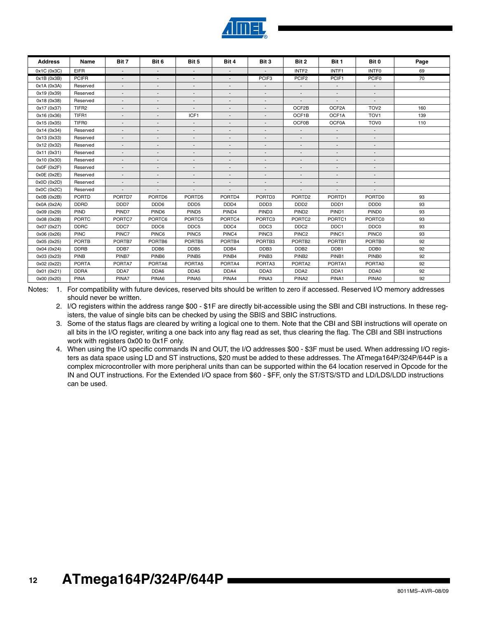

| <b>Address</b> | Name              | Bit 7                    | Bit 6                    | Bit 5                        | Bit 4                    | Bit 3                    | Bit 2                    | Bit 1                    | Bit 0                    | Page |
|----------------|-------------------|--------------------------|--------------------------|------------------------------|--------------------------|--------------------------|--------------------------|--------------------------|--------------------------|------|
| 0x1C (0x3C)    | <b>EIFR</b>       | $\sim$                   |                          | $\overline{a}$               |                          |                          | INTF <sub>2</sub>        | INTF1                    | <b>INTFO</b>             | 69   |
| 0x1B(0x3B)     | <b>PCIFR</b>      | $\overline{\phantom{a}}$ | $\overline{\phantom{a}}$ | $\overline{\phantom{a}}$     | $\overline{\phantom{a}}$ | PCIF <sub>3</sub>        | PCIF <sub>2</sub>        | PCIF1                    | PCIF <sub>0</sub>        | 70   |
| 0x1A (0x3A)    | Reserved          |                          |                          | $\overline{a}$               |                          |                          | $\overline{\phantom{a}}$ | $\overline{\phantom{a}}$ | $\overline{\phantom{a}}$ |      |
| 0x19 (0x39)    | Reserved          | $\overline{\phantom{a}}$ |                          | $\overline{\phantom{a}}$     |                          | $\overline{\phantom{a}}$ | $\overline{\phantom{a}}$ | $\overline{\phantom{a}}$ | $\blacksquare$           |      |
| 0x18 (0x38)    | Reserved          | $\overline{a}$           |                          | $\overline{a}$               |                          |                          |                          |                          | $\overline{\phantom{a}}$ |      |
| 0x17 (0x37)    | TIFR <sub>2</sub> |                          |                          | $\qquad \qquad \blacksquare$ |                          |                          | OCF2B                    | OCF2A                    | TOV <sub>2</sub>         | 160  |
| 0x16 (0x36)    | TIFR1             |                          |                          | ICF1                         |                          |                          | OCF1B                    | OCF1A                    | TOV <sub>1</sub>         | 139  |
| 0x15 (0x35)    | TIFR0             |                          |                          | $\overline{\phantom{a}}$     |                          |                          | <b>OCF0B</b>             | <b>OCF0A</b>             | TOV <sub>0</sub>         | 110  |
| 0x14 (0x34)    | Reserved          |                          |                          | $\overline{a}$               |                          |                          | $\blacksquare$           | $\sim$                   | $\sim$                   |      |
| 0x13 (0x33)    | Reserved          |                          |                          | $\overline{a}$               |                          |                          | $\overline{\phantom{a}}$ | $\overline{\phantom{0}}$ | $\overline{\phantom{a}}$ |      |
| 0x12 (0x32)    | Reserved          | $\overline{\phantom{a}}$ |                          | $\overline{\phantom{a}}$     | $\overline{\phantom{a}}$ | $\overline{\phantom{a}}$ | $\overline{\phantom{a}}$ | $\overline{\phantom{a}}$ | $\overline{\phantom{a}}$ |      |
| 0x11 (0x31)    | Reserved          |                          |                          | $\overline{a}$               |                          |                          | $\overline{\phantom{a}}$ |                          | $\overline{a}$           |      |
| 0x10 (0x30)    | Reserved          | $\overline{\phantom{a}}$ |                          | $\overline{a}$               |                          | $\overline{\phantom{a}}$ | $\overline{\phantom{a}}$ | $\overline{\phantom{a}}$ | $\overline{\phantom{a}}$ |      |
| 0x0F(0x2F)     | Reserved          |                          |                          | $\overline{a}$               |                          |                          |                          |                          | $\frac{1}{2}$            |      |
| 0x0E (0x2E)    | Reserved          |                          |                          | $\qquad \qquad \blacksquare$ |                          |                          |                          |                          | $\overline{\phantom{a}}$ |      |
| 0x0D (0x2D)    | Reserved          |                          |                          | $\overline{a}$               |                          |                          |                          |                          |                          |      |
| 0x0C (0x2C)    | Reserved          |                          |                          | ٠                            |                          |                          |                          |                          |                          |      |
| 0x0B(0x2B)     | <b>PORTD</b>      | PORTD7                   | PORTD6                   | PORTD5                       | PORTD4                   | PORTD3                   | PORTD <sub>2</sub>       | PORTD1                   | PORTD0                   | 93   |
| 0x0A (0x2A)    | <b>DDRD</b>       | DDD <sub>7</sub>         | DDD <sub>6</sub>         | DDD <sub>5</sub>             | DDD <sub>4</sub>         | DDD3                     | DDD <sub>2</sub>         | DDD <sub>1</sub>         | DDD <sub>0</sub>         | 93   |
| 0x09 (0x29)    | PIND              | PIND7                    | PIND <sub>6</sub>        | PIND <sub>5</sub>            | PIND <sub>4</sub>        | PIND <sub>3</sub>        | PIND <sub>2</sub>        | PIND1                    | PIND <sub>0</sub>        | 93   |
| 0x08 (0x28)    | <b>PORTC</b>      | PORTC7                   | PORTC6                   | PORTC5                       | PORTC4                   | PORTC3                   | PORTC <sub>2</sub>       | PORTC1                   | PORTC0                   | 93   |
| 0x07 (0x27)    | <b>DDRC</b>       | DDC7                     | DDC6                     | DDC5                         | DDC4                     | DDC3                     | DDC <sub>2</sub>         | DDC1                     | DDC0                     | 93   |
| 0x06 (0x26)    | <b>PINC</b>       | PINC7                    | PINC6                    | PINC5                        | PINC4                    | PINC <sub>3</sub>        | PINC <sub>2</sub>        | PINC1                    | <b>PINCO</b>             | 93   |
| 0x05 (0x25)    | <b>PORTB</b>      | PORTB7                   | PORTB6                   | PORTB5                       | PORTB4                   | PORTB <sub>3</sub>       | PORTB <sub>2</sub>       | PORTB1                   | PORTB0                   | 92   |
| 0x04 (0x24)    | <b>DDRB</b>       | DDB7                     | DDB6                     | DDB <sub>5</sub>             | DDB4                     | DDB <sub>3</sub>         | DDB <sub>2</sub>         | DDB1                     | DDB0                     | 92   |
| 0x03 (0x23)    | <b>PINB</b>       | PINB7                    | PINB6                    | PINB <sub>5</sub>            | PINB4                    | PINB <sub>3</sub>        | PINB <sub>2</sub>        | PINB1                    | PINB0                    | 92   |
| 0x02 (0x22)    | <b>PORTA</b>      | PORTA7                   | PORTA6                   | PORTA5                       | PORTA4                   | PORTA3                   | PORTA2                   | PORTA1                   | PORTA0                   | 92   |
| 0x01 (0x21)    | <b>DDRA</b>       | DDA7                     | DDA6                     | DDA5                         | DDA4                     | DDA3                     | DDA <sub>2</sub>         | DDA1                     | DDA0                     | 92   |
| 0x00 (0x20)    | <b>PINA</b>       | PINA7                    | PINA6                    | PINA5                        | PINA4                    | PINA3                    | PINA <sub>2</sub>        | PINA1                    | PINA0                    | 92   |

Notes: 1. For compatibility with future devices, reserved bits should be written to zero if accessed. Reserved I/O memory addresses should never be written.

2. I/O registers within the address range \$00 - \$1F are directly bit-accessible using the SBI and CBI instructions. In these registers, the value of single bits can be checked by using the SBIS and SBIC instructions.

- 3. Some of the status flags are cleared by writing a logical one to them. Note that the CBI and SBI instructions will operate on all bits in the I/O register, writing a one back into any flag read as set, thus clearing the flag. The CBI and SBI instructions work with registers 0x00 to 0x1F only.
- 4. When using the I/O specific commands IN and OUT, the I/O addresses \$00 \$3F must be used. When addressing I/O registers as data space using LD and ST instructions, \$20 must be added to these addresses. The ATmega164P/324P/644P is a complex microcontroller with more peripheral units than can be supported within the 64 location reserved in Opcode for the IN and OUT instructions. For the Extended I/O space from \$60 - \$FF, only the ST/STS/STD and LD/LDS/LDD instructions can be used.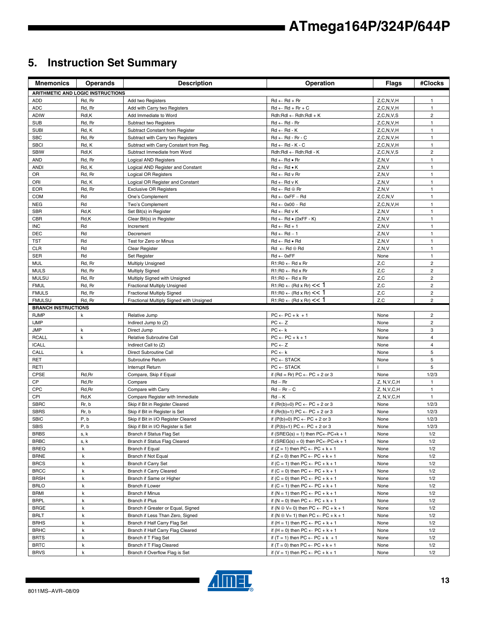## **5. Instruction Set Summary**

| <b>Mnemonics</b>           | <b>Operands</b>                          | <b>Description</b>                                         | Operation                                                                                            | <b>Flags</b>    | #Clocks                      |
|----------------------------|------------------------------------------|------------------------------------------------------------|------------------------------------------------------------------------------------------------------|-----------------|------------------------------|
|                            | <b>ARITHMETIC AND LOGIC INSTRUCTIONS</b> |                                                            |                                                                                                      |                 |                              |
| <b>ADD</b>                 | Rd, Rr                                   | Add two Registers                                          | $Rd \leftarrow Rd + Rr$                                                                              | Z, C, N, V, H   | $\mathbf{1}$                 |
| <b>ADC</b>                 | Rd, Rr                                   | Add with Carry two Registers                               | $Rd \leftarrow Rd + Rr + C$                                                                          | Z, C, N, V, H   | $\mathbf{1}$                 |
| <b>ADIW</b>                | Rdl,K                                    | Add Immediate to Word                                      | $Rdh:Rdl \leftarrow Rdh:Rdl + K$                                                                     | Z.C.N.V.S       | $\overline{c}$               |
| <b>SUB</b>                 | Rd, Rr                                   | Subtract two Registers                                     | $Rd \leftarrow Rd - Rr$                                                                              | Z, C, N, V, H   | $\mathbf{1}$                 |
| <b>SUBI</b>                | Rd, K                                    | Subtract Constant from Register                            | $Rd \leftarrow Rd - K$                                                                               | Z, C, N, V, H   | $\mathbf{1}$                 |
| <b>SBC</b>                 | Rd, Rr                                   | Subtract with Carry two Registers                          | $Rd \leftarrow Rd - Rr - C$                                                                          | Z, C, N, V, H   | $\mathbf{1}$                 |
| <b>SBCI</b>                | Rd, K                                    | Subtract with Carry Constant from Reg.                     | $Rd \leftarrow Rd - K - C$                                                                           | Z, C, N, V, H   | $\mathbf{1}$                 |
| <b>SBIW</b>                | Rdl,K                                    | Subtract Immediate from Word                               | Rdh:Rdl ← Rdh:Rdl - K                                                                                | Z, C, N, V, S   | $\mathbf 2$                  |
| <b>AND</b>                 | Rd, Rr                                   | Logical AND Registers                                      | $Rd \leftarrow Rd \bullet Rr$                                                                        | Z, N, V         | $\mathbf{1}$                 |
| <b>ANDI</b>                | Rd, K                                    | Logical AND Register and Constant                          | $Rd \leftarrow Rd \bullet K$                                                                         | Z, N, V         | $\mathbf{1}$                 |
| OR                         | Rd, Rr                                   | Logical OR Registers                                       | $Rd \leftarrow Rd$ v $Rr$                                                                            | Z, N, V         | $\mathbf{1}$                 |
| ORI                        | Rd, K                                    | Logical OR Register and Constant                           | $Rd \leftarrow Rd \vee K$                                                                            | Z, N, V         | $\mathbf{1}$                 |
| <b>EOR</b>                 | Rd, Rr                                   | <b>Exclusive OR Registers</b>                              | $Rd \leftarrow Rd \oplus Rr$                                                                         | Z, N, V         | $\mathbf{1}$                 |
| <b>COM</b>                 | Rd                                       | One's Complement                                           | $Rd \leftarrow 0xFF - Rd$                                                                            | Z, C, N, V      | $\mathbf{1}$                 |
| <b>NEG</b>                 | Rd                                       | Two's Complement                                           | $Rd \leftarrow 0x00 - Rd$                                                                            | Z, C, N, V, H   | $\mathbf{1}$                 |
| <b>SBR</b>                 | Rd,K                                     | Set Bit(s) in Register                                     | $Rd \leftarrow Rd v K$                                                                               | Z, N, V         | $\mathbf{1}$                 |
| <b>CBR</b>                 | Rd,K                                     | Clear Bit(s) in Register                                   | $Rd \leftarrow Rd \bullet (0xFF - K)$                                                                | Z, N, V         | $\mathbf{1}$                 |
| <b>INC</b>                 | Rd                                       | Increment                                                  | $Rd \leftarrow Rd + 1$                                                                               | Z, N, V         | $\mathbf{1}$                 |
| <b>DEC</b>                 | Rd                                       | Decrement                                                  | $Rd \leftarrow Rd - 1$                                                                               | Z, N, V         | $\mathbf{1}$                 |
| TST                        | Rd<br>Rd                                 | Test for Zero or Minus                                     | $Rd \leftarrow Rd \bullet Rd$                                                                        | Z, N, V         | $\mathbf{1}$                 |
| <b>CLR</b><br><b>SER</b>   | Rd                                       | Clear Register<br>Set Register                             | $Rd \leftarrow Rd \oplus Rd$<br>$Rd \leftarrow 0xFF$                                                 | Z, N, V<br>None | $\mathbf{1}$<br>$\mathbf{1}$ |
| <b>MUL</b>                 |                                          |                                                            | $R1:R0 \leftarrow Rd \times Rr$                                                                      | Z,C             | $\overline{2}$               |
| <b>MULS</b>                | Rd, Rr<br>Rd, Rr                         | <b>Multiply Unsigned</b><br><b>Multiply Signed</b>         | $R1:R0 \leftarrow Rd \times Rr$                                                                      | Z,C             | $\overline{2}$               |
| <b>MULSU</b>               | Rd, Rr                                   | Multiply Signed with Unsigned                              | $R1:R0 \leftarrow Rd \times Rr$                                                                      | Z,C             | $\overline{2}$               |
| <b>FMUL</b>                | Rd, Rr                                   | <b>Fractional Multiply Unsigned</b>                        | $R1:R0 \leftarrow (Rd \times Rr) \leq 1$                                                             | Z,C             | $\overline{2}$               |
| <b>FMULS</b>               | Rd, Rr                                   | <b>Fractional Multiply Signed</b>                          | $R1:R0 \leftarrow (Rd \times Rr) \leq 1$                                                             | Z, C            | $\mathbf 2$                  |
| <b>FMULSU</b>              | Rd, Rr                                   | Fractional Multiply Signed with Unsigned                   | $R1:R0 \leftarrow (Rd \times Rr) \leq 1$                                                             | Z,C             | $\overline{2}$               |
| <b>BRANCH INSTRUCTIONS</b> |                                          |                                                            |                                                                                                      |                 |                              |
| <b>RJMP</b>                | k                                        | Relative Jump                                              | $PC \leftarrow PC + k + 1$                                                                           | None            | $\overline{2}$               |
| <b>IJMP</b>                |                                          | Indirect Jump to (Z)                                       | $PC \leftarrow Z$                                                                                    | None            | $\overline{2}$               |
| <b>JMP</b>                 | k                                        | Direct Jump                                                | $PC \leftarrow k$                                                                                    | None            | 3                            |
| <b>RCALL</b>               | $\mathsf k$                              | Relative Subroutine Call                                   | $PC \leftarrow PC + k + 1$                                                                           | None            | 4                            |
| <b>ICALL</b>               |                                          | Indirect Call to (Z)                                       | $PC \leftarrow Z$                                                                                    | None            | 4                            |
| CALL                       | k                                        | Direct Subroutine Call                                     | $PC \leftarrow k$                                                                                    | None            | 5                            |
| <b>RET</b>                 |                                          | Subroutine Return                                          | $PC \leftarrow$ STACK                                                                                | None            | 5                            |
| RETI                       |                                          | Interrupt Return                                           | $PC \leftarrow$ STACK                                                                                |                 | 5                            |
| <b>CPSE</b>                | Rd, Rr                                   | Compare, Skip if Equal                                     | if (Rd = Rr) $PC \leftarrow PC + 2$ or 3                                                             | None            | 1/2/3                        |
| CP                         | Rd, Rr                                   | Compare                                                    | $Rd - Rr$                                                                                            | Z, N, V, C, H   | $\mathbf{1}$                 |
| CPC                        | Rd, Rr                                   | Compare with Carry                                         | $Rd - Rr - C$                                                                                        | Z, N, V, C, H   | $\mathbf{1}$                 |
| CPI                        | Rd,K                                     | Compare Register with Immediate                            | $Rd - K$                                                                                             | Z, N, V, C, H   | $\mathbf{1}$                 |
| <b>SBRC</b>                | Rr, b                                    | Skip if Bit in Register Cleared                            | if $(Rr(b)=0) PC \leftarrow PC + 2$ or 3                                                             | None            | 1/2/3                        |
| <b>SBRS</b>                | Rr, b                                    | Skip if Bit in Register is Set                             | if $(Rr(b)=1) PC \leftarrow PC + 2$ or 3                                                             | None            | 1/2/3                        |
| <b>SBIC</b><br>SBIS        | P, b<br>P, b                             | Skip if Bit in I/O Register Cleared                        | if $(P(b)=0) PC \leftarrow PC + 2$ or 3<br>if $(P(b)=1) PC \leftarrow PC + 2$ or 3                   | None<br>None    | 1/2/3<br>1/2/3               |
| <b>BRBS</b>                |                                          | Skip if Bit in I/O Register is Set                         |                                                                                                      | None            | 1/2                          |
| <b>BRBC</b>                | s, k<br>s, k                             | Branch if Status Flag Set<br>Branch if Status Flag Cleared | if (SREG(s) = 1) then $PC \leftarrow PC + k + 1$<br>if (SREG(s) = 0) then $PC \leftarrow PC + k + 1$ | None            | 1/2                          |
| <b>BREQ</b>                | k                                        | Branch if Equal                                            | if $(Z = 1)$ then $PC \leftarrow PC + k + 1$                                                         | None            | 1/2                          |
| <b>BRNE</b>                | k                                        | Branch if Not Equal                                        | if $(Z = 0)$ then $PC \leftarrow PC + k + 1$                                                         | None            | 1/2                          |
| <b>BRCS</b>                | k                                        | <b>Branch if Carry Set</b>                                 | if $(C = 1)$ then $PC \leftarrow PC + k + 1$                                                         | None            | 1/2                          |
| <b>BRCC</b>                | k                                        | Branch if Carry Cleared                                    | if $(C = 0)$ then $PC \leftarrow PC + k + 1$                                                         | None            | 1/2                          |
| <b>BRSH</b>                | k                                        | Branch if Same or Higher                                   | if $(C = 0)$ then $PC \leftarrow PC + k + 1$                                                         | None            | 1/2                          |
| <b>BRLO</b>                | k                                        | Branch if Lower                                            | if $(C = 1)$ then $PC \leftarrow PC + k + 1$                                                         | None            | 1/2                          |
| BRMI                       | k                                        | <b>Branch if Minus</b>                                     | if $(N = 1)$ then $PC \leftarrow PC + k + 1$                                                         | None            | 1/2                          |
| <b>BRPL</b>                | k                                        | Branch if Plus                                             | if $(N = 0)$ then $PC \leftarrow PC + k + 1$                                                         | None            | 1/2                          |
| <b>BRGE</b>                | k                                        | Branch if Greater or Equal, Signed                         | if $(N \oplus V = 0)$ then $PC \leftarrow PC + k + 1$                                                | None            | 1/2                          |
| <b>BRLT</b>                | k                                        | Branch if Less Than Zero, Signed                           | if $(N \oplus V = 1)$ then $PC \leftarrow PC + k + 1$                                                | None            | 1/2                          |
| <b>BRHS</b>                | k                                        | Branch if Half Carry Flag Set                              | if $(H = 1)$ then PC $\leftarrow$ PC + k + 1                                                         | None            | 1/2                          |
| <b>BRHC</b>                | k                                        | Branch if Half Carry Flag Cleared                          | if $(H = 0)$ then PC $\leftarrow$ PC + k + 1                                                         | None            | 1/2                          |
| <b>BRTS</b>                | k                                        | Branch if T Flag Set                                       | if $(T = 1)$ then PC $\leftarrow$ PC + k + 1                                                         | None            | 1/2                          |
| <b>BRTC</b>                | k                                        | Branch if T Flag Cleared                                   | if $(T = 0)$ then $PC \leftarrow PC + k + 1$                                                         | None            | 1/2                          |
| <b>BRVS</b>                | $\mathsf k$                              | Branch if Overflow Flag is Set                             | if (V = 1) then $PC \leftarrow PC + k + 1$                                                           | None            | 1/2                          |

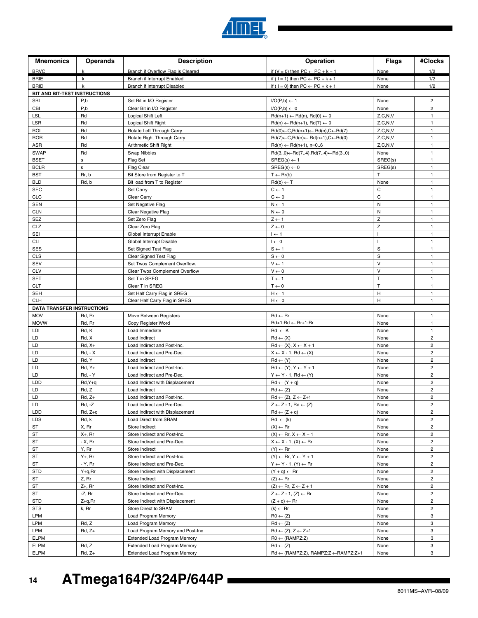

| <b>Mnemonics</b>                                | <b>Operands</b>       | <b>Description</b>                             | Operation                                                                               | <b>Flags</b>    | #Clocks                          |
|-------------------------------------------------|-----------------------|------------------------------------------------|-----------------------------------------------------------------------------------------|-----------------|----------------------------------|
| <b>BRVC</b>                                     | k                     | Branch if Overflow Flag is Cleared             | if $(V = 0)$ then $PC \leftarrow PC + k + 1$                                            | None            | 1/2                              |
| <b>BRIE</b>                                     | k                     | Branch if Interrupt Enabled                    | if ( $1 = 1$ ) then $PC \leftarrow PC + k + 1$                                          | None            | 1/2                              |
| <b>BRID</b>                                     | $\mathsf{k}$          | Branch if Interrupt Disabled                   | if ( $1 = 0$ ) then $PC \leftarrow PC + k + 1$                                          | None            | 1/2                              |
| BIT AND BIT-TEST INSTRUCTIONS                   |                       |                                                |                                                                                         |                 |                                  |
| <b>SBI</b>                                      | P,b                   | Set Bit in I/O Register                        | $I/O(P,b) \leftarrow 1$                                                                 | None            | $\overline{2}$                   |
| CBI                                             | P,b                   | Clear Bit in I/O Register                      | $I/O(P,b) \leftarrow 0$                                                                 | None            | $\overline{2}$                   |
| LSL                                             | Rd                    | Logical Shift Left                             | $Rd(n+1) \leftarrow Rd(n), Rd(0) \leftarrow 0$                                          | Z, C, N, V      | $\mathbf{1}$                     |
| <b>LSR</b>                                      | Rd                    | Logical Shift Right                            | $Rd(n) \leftarrow Rd(n+1), Rd(7) \leftarrow 0$                                          | Z, C, N, V      | 1                                |
| <b>ROL</b>                                      | Rd                    | Rotate Left Through Carry                      | $Rd(0) \leftarrow C, Rd(n+1) \leftarrow Rd(n), C \leftarrow Rd(7)$                      | Z, C, N, V      | $\mathbf{1}$                     |
| <b>ROR</b>                                      | Rd                    | Rotate Right Through Carry                     | $Rd(7) \leftarrow C, Rd(n) \leftarrow Rd(n+1), C \leftarrow Rd(0)$                      | Z, C, N, V      | 1                                |
| <b>ASR</b><br><b>SWAP</b>                       | Rd<br>Rd              | Arithmetic Shift Right                         | $Rd(n) \leftarrow Rd(n+1), n=06$                                                        | Z, C, N, V      | 1<br>$\mathbf{1}$                |
| <b>BSET</b>                                     | $\mathsf{s}$          | Swap Nibbles<br>Flag Set                       | $Rd(30) \leftarrow Rd(74), Rd(74) \leftarrow Rd(30)$<br>$SREG(s) \leftarrow 1$          | None<br>SREG(s) | 1                                |
| <b>BCLR</b>                                     | $\mathbf s$           | Flag Clear                                     | $SREG(s) \leftarrow 0$                                                                  | SREG(s)         | 1                                |
| <b>BST</b>                                      | Rr, b                 | Bit Store from Register to T                   | $T \leftarrow Rr(b)$                                                                    | $\top$          | $\mathbf{1}$                     |
| <b>BLD</b>                                      | Rd, b                 | Bit load from T to Register                    | $Rd(b) \leftarrow T$                                                                    | None            | 1                                |
| <b>SEC</b>                                      |                       | Set Carry                                      | $C \leftarrow 1$                                                                        | C               | $\mathbf{1}$                     |
| <b>CLC</b>                                      |                       | Clear Carry                                    | $C \leftarrow 0$                                                                        | $\mathbf C$     | $\mathbf{1}$                     |
| <b>SEN</b>                                      |                       | Set Negative Flag                              | $N \leftarrow 1$                                                                        | ${\sf N}$       | $\mathbf{1}$                     |
| <b>CLN</b>                                      |                       | Clear Negative Flag                            | $N \leftarrow 0$                                                                        | N               | 1                                |
| <b>SEZ</b>                                      |                       | Set Zero Flag                                  | $Z \leftarrow 1$                                                                        | Z               | $\mathbf{1}$                     |
| CLZ                                             |                       | Clear Zero Flag                                | $Z \leftarrow 0$                                                                        | $\mathsf Z$     | 1                                |
| SEI                                             |                       | Global Interrupt Enable                        | $I \leftarrow 1$                                                                        |                 | 1                                |
| <b>CLI</b>                                      |                       | Global Interrupt Disable                       | $I \leftarrow 0$                                                                        |                 | $\mathbf{1}$                     |
| <b>SES</b>                                      |                       | Set Signed Test Flag                           | $S \leftarrow 1$                                                                        | S               | $\mathbf{1}$                     |
| <b>CLS</b>                                      |                       | Clear Signed Test Flag                         | $S \leftarrow 0$                                                                        | S               | $\mathbf{1}$                     |
| <b>SEV</b>                                      |                       | Set Twos Complement Overflow.                  | $\mathsf{V}\leftarrow\mathsf{1}$                                                        | $\vee$          | $\mathbf{1}$                     |
| <b>CLV</b>                                      |                       | Clear Twos Complement Overflow                 | $V \leftarrow 0$                                                                        | $\vee$          | 1                                |
| <b>SET</b>                                      |                       | Set T in SREG                                  | $T \leftarrow 1$                                                                        | T               | $\mathbf{1}$                     |
| <b>CLT</b>                                      |                       | Clear T in SREG                                | $T \leftarrow 0$                                                                        | T               | 1                                |
| <b>SEH</b>                                      |                       | Set Half Carry Flag in SREG                    | $H \leftarrow 1$                                                                        | H               | $\mathbf{1}$                     |
| <b>CLH</b>                                      |                       | Clear Half Carry Flag in SREG                  | $H \leftarrow 0$                                                                        | н               | $\mathbf{1}$                     |
| <b>DATA TRANSFER INSTRUCTIONS</b><br><b>MOV</b> | Rd, Rr                | Move Between Registers                         | $Rd \leftarrow Rr$                                                                      | None            | 1                                |
| <b>MOVW</b>                                     | Rd, Rr                | Copy Register Word                             | Rd+1:Rd ← Rr+1:Rr                                                                       | None            | 1                                |
| LDI                                             | Rd, K                 | Load Immediate                                 | $Rd \leftarrow K$                                                                       | None            | $\mathbf{1}$                     |
| LD                                              | Rd, X                 | Load Indirect                                  | $Rd \leftarrow (X)$                                                                     | None            | $\overline{2}$                   |
| LD                                              | $Rd, X+$              | Load Indirect and Post-Inc.                    | $Rd \leftarrow (X), X \leftarrow X + 1$                                                 | None            | $\overline{2}$                   |
| LD                                              | $Rd, -X$              | Load Indirect and Pre-Dec.                     | $X \leftarrow X - 1$ , Rd $\leftarrow (X)$                                              | None            | $\overline{c}$                   |
| LD                                              | Rd, Y                 | Load Indirect                                  | $Rd \leftarrow (Y)$                                                                     | None            | $\overline{c}$                   |
| LD                                              | $Rd, Y+$              | Load Indirect and Post-Inc.                    | $Rd \leftarrow (Y), Y \leftarrow Y + 1$                                                 | None            | $\overline{2}$                   |
| LD                                              | <b>Rd, - Y</b>        | Load Indirect and Pre-Dec.                     | $Y \leftarrow Y - 1$ , Rd $\leftarrow (Y)$                                              | None            | $\overline{2}$                   |
| LDD                                             | Rd, Y+q               | Load Indirect with Displacement                | $Rd \leftarrow (Y + q)$                                                                 | None            | $\overline{2}$                   |
| LD                                              | Rd, Z                 | Load Indirect                                  | $Rd \leftarrow (Z)$                                                                     | None            | $\overline{c}$                   |
| LD                                              | $Rd, Z+$              | Load Indirect and Post-Inc.                    | $Rd \leftarrow (Z), Z \leftarrow Z+1$                                                   | None            | $\overline{\mathbf{c}}$          |
| LD                                              | <b>Rd, -Z</b>         | Load Indirect and Pre-Dec.                     | $Z \leftarrow Z - 1$ , Rd $\leftarrow (Z)$                                              | None            | $\overline{2}$                   |
| LDD                                             | $Rd, Z+q$             | Load Indirect with Displacement                | $Rd \leftarrow (Z + q)$                                                                 | None            | $\overline{2}$                   |
| LDS                                             | Rd, k                 | Load Direct from SRAM                          | $Rd \leftarrow (k)$                                                                     | None            | $\overline{2}$                   |
| ST                                              | X, Rr                 | Store Indirect                                 | $(X) \leftarrow Rr$                                                                     | None            | $\overline{2}$                   |
| <b>ST</b>                                       | $X_{+}$ , Rr          | Store Indirect and Post-Inc.                   | $(X) \leftarrow$ Rr, $X \leftarrow X + 1$                                               | None            | $\overline{2}$                   |
| ST                                              | - X, Rr               | Store Indirect and Pre-Dec.                    | $X \leftarrow X - 1$ , $(X) \leftarrow Rr$                                              | None            | $\overline{2}$                   |
| <b>ST</b><br><b>ST</b>                          | Y, Rr<br>$Y_{+}$ , Rr | Store Indirect<br>Store Indirect and Post-Inc. | $(Y) \leftarrow Rr$                                                                     | None            | $\overline{2}$<br>$\overline{2}$ |
| ST                                              | - Y, Rr               | Store Indirect and Pre-Dec.                    | $(Y) \leftarrow$ Rr, $Y \leftarrow Y + 1$<br>$Y \leftarrow Y - 1$ , $(Y) \leftarrow Rr$ | None<br>None    | $\overline{2}$                   |
| <b>STD</b>                                      | Y+q,Rr                | Store Indirect with Displacement               | $(Y + q) \leftarrow Rr$                                                                 | None            | $\overline{2}$                   |
| ST                                              | Z, Rr                 | Store Indirect                                 | $(Z) \leftarrow$ Rr                                                                     | None            | $\overline{2}$                   |
| ST                                              | $Z+$ , Rr             | Store Indirect and Post-Inc.                   | $(Z) \leftarrow$ Rr, $Z \leftarrow Z + 1$                                               | None            | $\overline{2}$                   |
| ST                                              | -Z, Rr                | Store Indirect and Pre-Dec.                    | $Z \leftarrow Z - 1$ , $(Z) \leftarrow Rr$                                              | None            | $\overline{2}$                   |
| <b>STD</b>                                      | $Z + q, Rr$           | Store Indirect with Displacement               | $(Z + q) \leftarrow Rr$                                                                 | None            | $\overline{2}$                   |
| STS                                             | k, Rr                 | Store Direct to SRAM                           | $(k) \leftarrow Rr$                                                                     | None            | $\overline{2}$                   |
| LPM                                             |                       | Load Program Memory                            | $R0 \leftarrow (Z)$                                                                     | None            | 3                                |
| LPM                                             | Rd, Z                 | Load Program Memory                            | $Rd \leftarrow (Z)$                                                                     | None            | 3                                |
| LPM                                             | $Rd, Z+$              | Load Program Memory and Post-Inc               | $Rd \leftarrow (Z), Z \leftarrow Z+1$                                                   | None            | 3                                |
| <b>ELPM</b>                                     |                       | <b>Extended Load Program Memory</b>            | $RO \leftarrow (RAMPZ:Z)$                                                               | None            | 3                                |
| <b>ELPM</b>                                     | Rd, Z                 | <b>Extended Load Program Memory</b>            | $Rd \leftarrow (Z)$                                                                     | None            | 3                                |
| <b>ELPM</b>                                     | $Rd, Z+$              | Extended Load Program Memory                   | Rd ← (RAMPZ:Z), RAMPZ:Z ← RAMPZ:Z+1                                                     | None            | 3                                |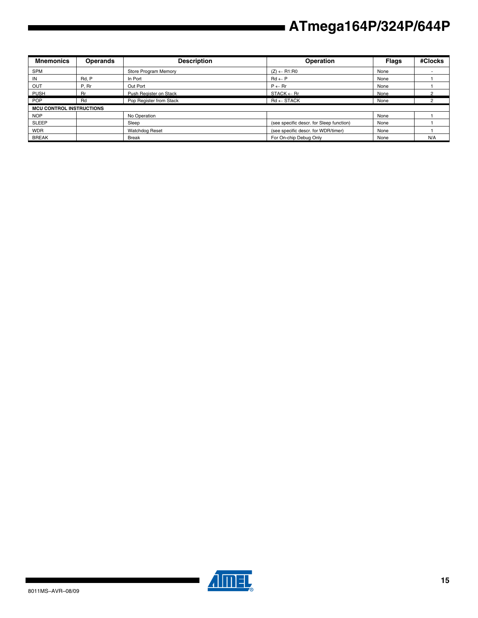| <b>Mnemonics</b>                | <b>Operands</b> | <b>Description</b>      | Operation                                | <b>Flags</b> | #Clocks |
|---------------------------------|-----------------|-------------------------|------------------------------------------|--------------|---------|
| <b>SPM</b>                      |                 | Store Program Memory    | $(Z) \leftarrow R1:R0$                   | None         |         |
| IN                              | Rd. P           | In Port                 | $Rd \leftarrow P$                        | None         |         |
| OUT                             | P, Rr           | Out Port                | $P \leftarrow Rr$                        | None         |         |
| <b>PUSH</b>                     | <b>Rr</b>       | Push Register on Stack  | $STACK \leftarrow$ Rr                    | None         |         |
| <b>POP</b>                      | Rd              | Pop Register from Stack | $Rd \leftarrow$ STACK                    | None         |         |
| <b>MCU CONTROL INSTRUCTIONS</b> |                 |                         |                                          |              |         |
| <b>NOP</b>                      |                 | No Operation            |                                          | None         |         |
| <b>SLEEP</b>                    |                 | Sleep                   | (see specific descr. for Sleep function) | None         |         |
| <b>WDR</b>                      |                 | <b>Watchdog Reset</b>   | (see specific descr. for WDR/timer)      | None         |         |
| <b>BREAK</b>                    |                 | <b>Break</b>            | For On-chip Debug Only                   | None         | N/A     |



▊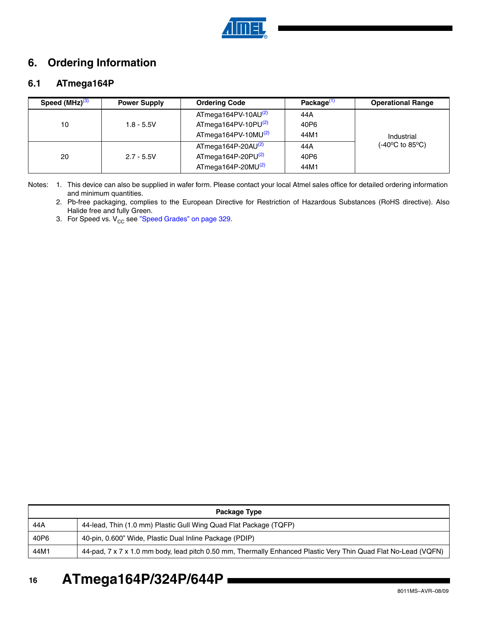

## **6. Ordering Information**

## **6.1 ATmega164P**

| Speed (MHz) <sup>(3)</sup> | <b>Power Supply</b> | <b>Ordering Code</b>            | Package <sup>(1</sup> | <b>Operational Range</b>                 |  |  |
|----------------------------|---------------------|---------------------------------|-----------------------|------------------------------------------|--|--|
|                            |                     | ATmega164PV-10AU <sup>(2)</sup> | 44A                   |                                          |  |  |
| 10                         | $1.8 - 5.5V$        | ATmega164PV-10PU $(2)$          | 40P6                  |                                          |  |  |
|                            |                     | ATmega164PV-10MU $(2)$          | 44M1                  | Industrial                               |  |  |
|                            |                     | ATmega164P-20AU <sup>(2)</sup>  | 44A                   | $(-40^{\circ}C \text{ to } 85^{\circ}C)$ |  |  |
| 20                         | $2.7 - 5.5V$        | $ATmega164P-20PU(2)$            | 40P6                  |                                          |  |  |
|                            |                     | ATmega164P-20MU $(2)$           | 44M1                  |                                          |  |  |

Notes: 1. This device can also be supplied in wafer form. Please contact your local Atmel sales office for detailed ordering information and minimum quantities.

- 2. Pb-free packaging, complies to the European Directive for Restriction of Hazardous Substances (RoHS directive). Also Halide free and fully Green.
- 3. For Speed vs.  $V_{CC}$  see "Speed Grades" on page 329.

| Package Type |                                                                                                                |  |  |  |
|--------------|----------------------------------------------------------------------------------------------------------------|--|--|--|
| 44A          | 44-lead, Thin (1.0 mm) Plastic Gull Wing Quad Flat Package (TQFP)                                              |  |  |  |
| 40P6         | 40-pin, 0.600" Wide, Plastic Dual Inline Package (PDIP)                                                        |  |  |  |
| 44M1         | 44-pad, 7 x 7 x 1.0 mm body, lead pitch 0.50 mm, Thermally Enhanced Plastic Very Thin Quad Flat No-Lead (VQFN) |  |  |  |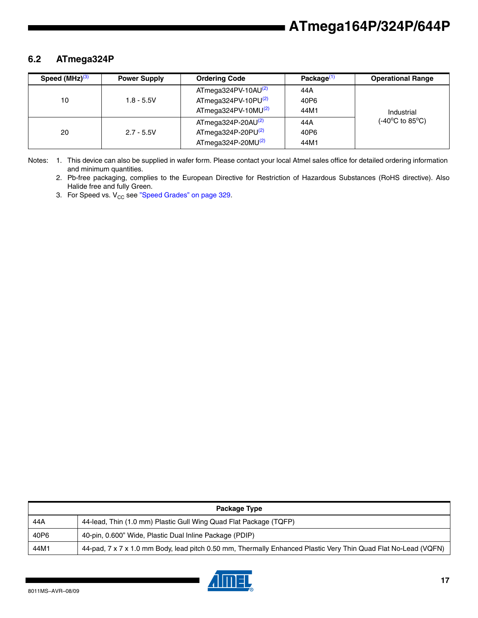## **6.2 ATmega324P**

| Speed $(MHz)^{(3)}$ | <b>Power Supply</b> | <b>Ordering Code</b>            | Package <sup>(1)</sup> | <b>Operational Range</b> |
|---------------------|---------------------|---------------------------------|------------------------|--------------------------|
|                     | $1.8 - 5.5V$        | ATmega324PV-10AU <sup>(2)</sup> | 44A                    | Industrial               |
| 10                  |                     | $ATmega324PV-10PU(2)$           | 40P6                   |                          |
|                     |                     | ATmega324PV-10MU $^{(2)}$       | 44M1                   |                          |
|                     | $2.7 - 5.5V$        | ATmega324P-20AU $^{(2)}$        | 44A                    | (-40°C to 85°C)          |
| 20                  |                     | ATmega324P-20PU $(2)$           | 40P6                   |                          |
|                     |                     | ATmega324P-20MU $(2)$           | 44M1                   |                          |

Notes: 1. This device can also be supplied in wafer form. Please contact your local Atmel sales office for detailed ordering information and minimum quantities.

2. Pb-free packaging, complies to the European Directive for Restriction of Hazardous Substances (RoHS directive). Also Halide free and fully Green.

3. For Speed vs.  $V_{CC}$  see "Speed Grades" on page 329.

| Package Type |                                                                                                                |  |  |  |
|--------------|----------------------------------------------------------------------------------------------------------------|--|--|--|
| 44A          | 44-lead, Thin (1.0 mm) Plastic Gull Wing Quad Flat Package (TQFP)                                              |  |  |  |
| 40P6         | 40-pin, 0.600" Wide, Plastic Dual Inline Package (PDIP)                                                        |  |  |  |
| 44M1         | 44-pad, 7 x 7 x 1.0 mm Body, lead pitch 0.50 mm, Thermally Enhanced Plastic Very Thin Quad Flat No-Lead (VQFN) |  |  |  |

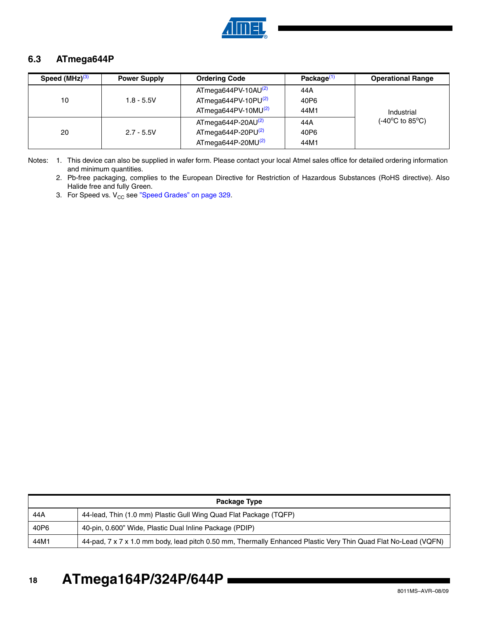

## **6.3 ATmega644P**

| Speed (MHz) <sup>(3)</sup> | <b>Power Supply</b> | <b>Ordering Code</b>      | Package <sup>(1)</sup> | <b>Operational Range</b>             |
|----------------------------|---------------------|---------------------------|------------------------|--------------------------------------|
|                            | $1.8 - 5.5V$        | ATmega644PV-10AU $(2)$    | 44A                    | Industrial                           |
| 10                         |                     | $ATmega644PV-10PU(2)$     | 40P6                   |                                      |
|                            |                     | ATmega644PV-10MU $^{(2)}$ | 44M1                   |                                      |
|                            | $2.7 - 5.5V$        | ATmega644P-20AU $^{(2)}$  | 44 A                   | $(-40^{\circ}$ C to 85 $^{\circ}$ C) |
| 20                         |                     | ATmega644P-20PU $(2)$     | 40P6                   |                                      |
|                            |                     | ATmega644P-20MU $(2)$     | 44M1                   |                                      |

Notes: 1. This device can also be supplied in wafer form. Please contact your local Atmel sales office for detailed ordering information and minimum quantities.

2. Pb-free packaging, complies to the European Directive for Restriction of Hazardous Substances (RoHS directive). Also Halide free and fully Green.

3. For Speed vs.  $V_{CC}$  see "Speed Grades" on page 329.

| Package Type |                                                                                                                |  |  |
|--------------|----------------------------------------------------------------------------------------------------------------|--|--|
| 44 A         | 44-lead, Thin (1.0 mm) Plastic Gull Wing Quad Flat Package (TQFP)                                              |  |  |
| 40P6         | 40-pin, 0.600" Wide, Plastic Dual Inline Package (PDIP)                                                        |  |  |
| 44M1         | 44-pad, 7 x 7 x 1.0 mm body, lead pitch 0.50 mm, Thermally Enhanced Plastic Very Thin Quad Flat No-Lead (VQFN) |  |  |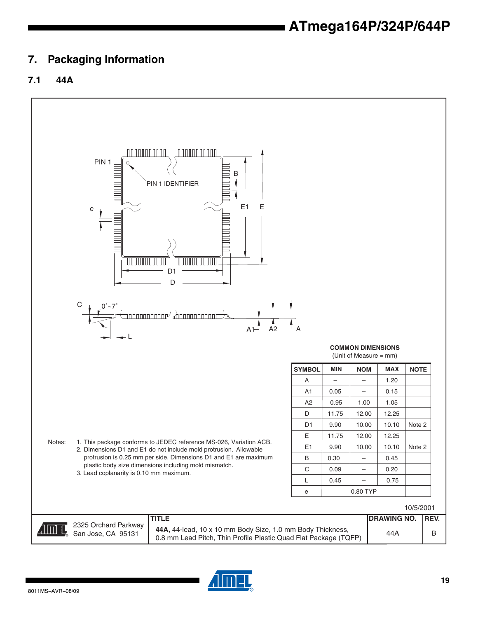## <span id="page-18-0"></span>**7. Packaging Information**

## **7.1 44A**



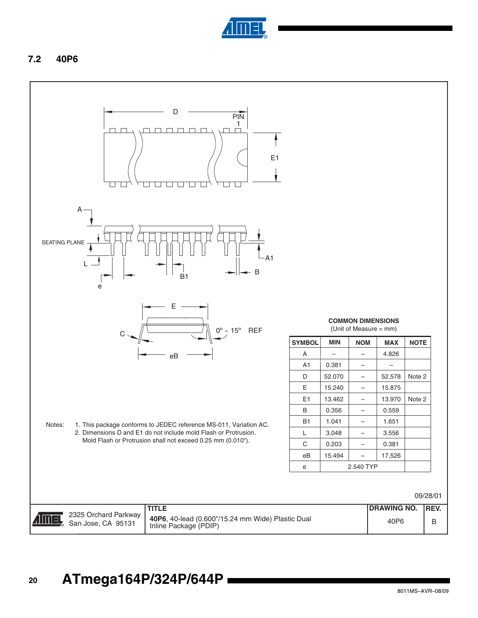

## **7.2 40P6**

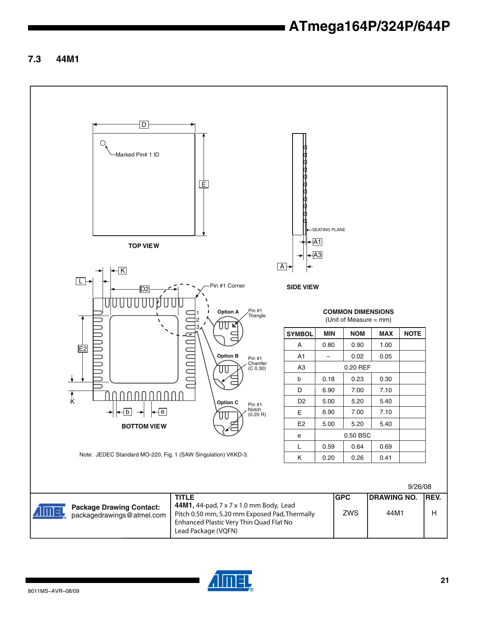## **7.3 44M1**

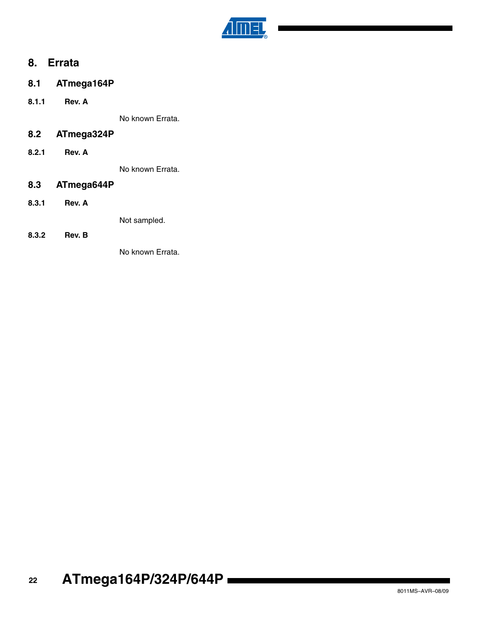

## **8. Errata**

- **8.1 ATmega164P**
- **8.1.1 Rev. A**

No known Errata.

## **8.2 ATmega324P**

**8.2.1 Rev. A**

No known Errata.

### **8.3 ATmega644P**

**8.3.1 Rev. A**

Not sampled.

**8.3.2 Rev. B**

No known Errata.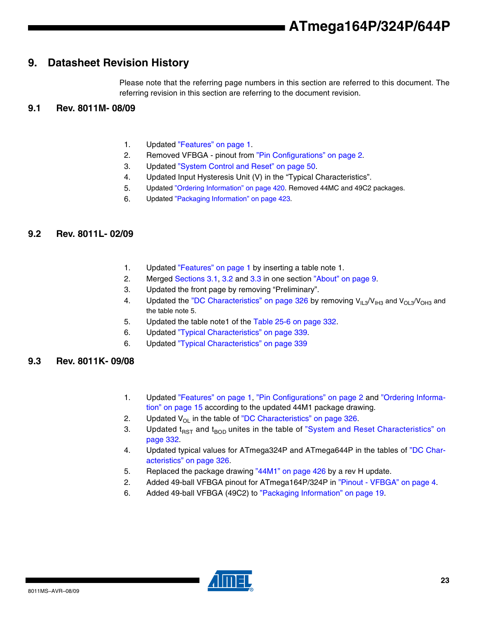## **9. Datasheet Revision History**

Please note that the referring page numbers in this section are referred to this document. The referring revision in this section are referring to the document revision.

## **9.1 Rev. 8011M- 08/09**

- 1. Updated "Features" on page 1.
- 2. Removed VFBGA pinout from "Pin Configurations" on page 2.
- 3. Updated "System Control and Reset" on page 50.
- 4. Updated Input Hysteresis Unit (V) in the "Typical Characteristics".
- 5. Updated "Ordering Information" on page 420. Removed 44MC and 49C2 packages.
- 6. Updated "Packaging Information" on page 423.

## **9.2 Rev. 8011L- 02/09**

- 1. Updated "Features" on page 1 by inserting a table note 1.
- 2. Merged Sections 3.1, 3.2 and 3.3 in one section "About" on page 9.
- 3. Updated the front page by removing "Preliminary".
- 4. Updated the "DC Characteristics" on page 326 by removing  $V_{11,3}/V_{1H3}$  and  $V_{01,3}/V_{0H3}$  and the table note 5.
- 5. Updated the table note1 of the Table 25-6 on page 332.
- 6. Updated "Typical Characteristics" on page 339.
- 6. Updated "Typical Characteristics" on page 339

## **9.3 Rev. 8011K- 09/08**

- 1. Updated "Features" on page 1, "Pin Configurations" on page 2 and "Ordering Information" on page 15 according to the updated 44M1 package drawing.
- 2. Updated  $V_{OL}$  in the table of "DC Characteristics" on page 326.
- 3. Updated  $t_{RST}$  and  $t_{BOD}$  unites in the table of "System and Reset Characteristics" on page 332.
- 4. Updated typical values for ATmega324P and ATmega644P in the tables of "DC Characteristics" on page 326.
- 5. Replaced the package drawing "44M1" on page 426 by a rev H update.
- 2. Added 49-ball VFBGA pinout for ATmega164P/324P in "Pinout VFBGA" on page 4.
- 6. Added 49-ball VFBGA (49C2) to ["Packaging Information" on page 19.](#page-18-0)

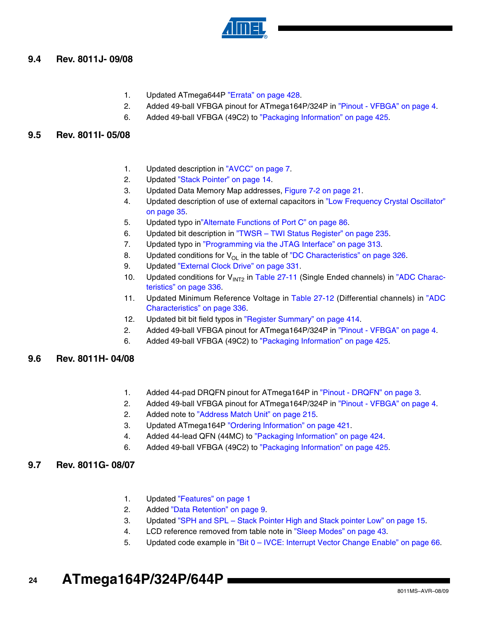

## **9.4 Rev. 8011J- 09/08**

- 1. Updated ATmega644P "Errata" on page 428.
- 2. Added 49-ball VFBGA pinout for ATmega164P/324P in "Pinout VFBGA" on page 4.
- 6. Added 49-ball VFBGA (49C2) to "Packaging Information" on page 425.

### **9.5 Rev. 8011I- 05/08**

- 1. Updated description in "AVCC" on page 7.
- 2. Updated "Stack Pointer" on page 14.
- 3. Updated Data Memory Map addresses, Figure 7-2 on page 21.
- 4. Updated description of use of external capacitors in "Low Frequency Crystal Oscillator" on page 35.
- 5. Updated typo in"Alternate Functions of Port C" on page 86.
- 6. Updated bit description in "TWSR TWI Status Register" on page 235.
- 7. Updated typo in "Programming via the JTAG Interface" on page 313.
- 8. Updated conditions for  $V_{\text{OL}}$  in the table of "DC Characteristics" on page 326.
- 9. Updated "External Clock Drive" on page 331.
- 10. Updated conditions for  $V_{INT2}$  in Table 27-11 (Single Ended channels) in "ADC Characteristics" on page 336.
- 11. Updated Minimum Reference Voltage in Table 27-12 (Differential channels) in "ADC Characteristics" on page 336.
- 12. Updated bit bit field typos in "Register Summary" on page 414.
- 2. Added 49-ball VFBGA pinout for ATmega164P/324P in "Pinout VFBGA" on page 4.
- 6. Added 49-ball VFBGA (49C2) to "Packaging Information" on page 425.

### **9.6 Rev. 8011H- 04/08**

- 1. Added 44-pad DRQFN pinout for ATmega164P in "Pinout DRQFN" on page 3.
- 2. Added 49-ball VFBGA pinout for ATmega164P/324P in "Pinout VFBGA" on page 4.
- 2. Added note to "Address Match Unit" on page 215.
- 3. Updated ATmega164P "Ordering Information" on page 421.
- 4. Added 44-lead QFN (44MC) to "Packaging Information" on page 424.
- 6. Added 49-ball VFBGA (49C2) to "Packaging Information" on page 425.

### **9.7 Rev. 8011G- 08/07**

- 1. Updated "Features" on page 1
- 2. Added "Data Retention" on page 9.
- 3. Updated "SPH and SPL Stack Pointer High and Stack pointer Low" on page 15.
- 4. LCD reference removed from table note in "Sleep Modes" on page 43.
- 5. Updated code example in "Bit 0 IVCE: Interrupt Vector Change Enable" on page 66.
- **24 ATmega164P/324P/644P**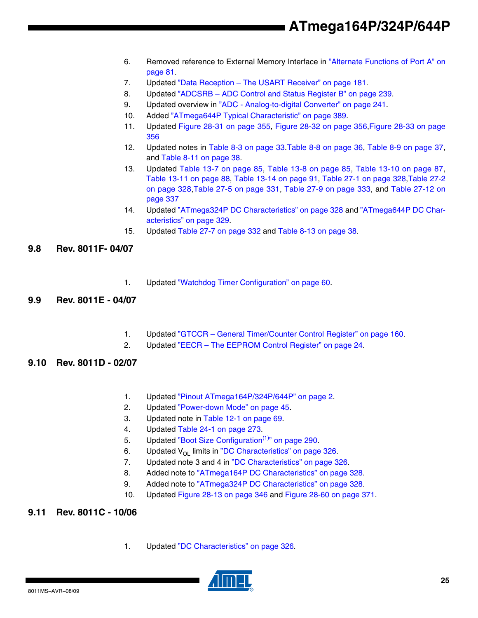- 6. Removed reference to External Memory Interface in "Alternate Functions of Port A" on page 81.
- 7. Updated "Data Reception The USART Receiver" on page 181.
- 8. Updated "ADCSRB ADC Control and Status Register B" on page 239.
- 9. Updated overview in "ADC Analog-to-digital Converter" on page 241.
- 10. Added "ATmega644P Typical Characteristic" on page 389.
- 11. Updated Figure 28-31 on page 355, Figure 28-32 on page 356,Figure 28-33 on page 356
- 12. Updated notes in Table 8-3 on page 33.Table 8-8 on page 36, Table 8-9 on page 37, and Table 8-11 on page 38.
- 13. Updated Table 13-7 on page 85, Table 13-8 on page 85, Table 13-10 on page 87, Table 13-11 on page 88, Table 13-14 on page 91, Table 27-1 on page 328,Table 27-2 on page 328,Table 27-5 on page 331, Table 27-9 on page 333, and Table 27-12 on page 337
- 14. Updated "ATmega324P DC Characteristics" on page 328 and "ATmega644P DC Characteristics" on page 329.
- 15. Updated Table 27-7 on page 332 and Table 8-13 on page 38.

### **9.8 Rev. 8011F- 04/07**

1. Updated "Watchdog Timer Configuration" on page 60.

#### **9.9 Rev. 8011E - 04/07**

- 1. Updated "GTCCR General Timer/Counter Control Register" on page 160.
- 2. Updated "EECR The EEPROM Control Register" on page 24.

### **9.10 Rev. 8011D - 02/07**

- 1. Updated "Pinout ATmega164P/324P/644P" on page 2.
- 2. Updated "Power-down Mode" on page 45.
- 3. Updated note in Table 12-1 on page 69.
- 4. Updated Table 24-1 on page 273.
- 5. Updated "Boot Size Configuration<sup>(1)</sup>" on page 290.
- 6. Updated  $V_{\text{OL}}$  limits in "DC Characteristics" on page 326.
- 7. Updated note 3 and 4 in "DC Characteristics" on page 326.
- 8. Added note to "ATmega164P DC Characteristics" on page 328.
- 9. Added note to "ATmega324P DC Characteristics" on page 328.
- 10. Updated Figure 28-13 on page 346 and Figure 28-60 on page 371.

### **9.11 Rev. 8011C - 10/06**

1. Updated "DC Characteristics" on page 326.

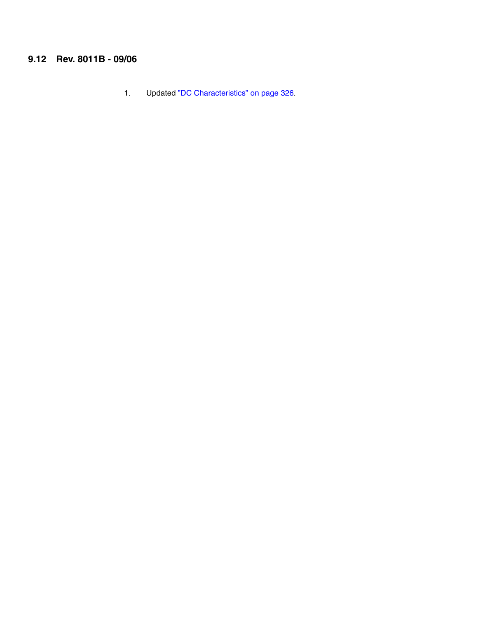## **9.12 Rev. 8011B - 09/06**

1. Updated "DC Characteristics" on page 326.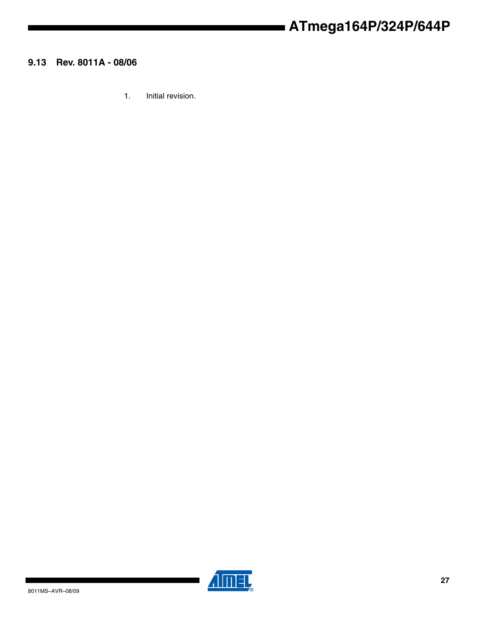## **9.13 Rev. 8011A - 08/06**

1. Initial revision.



 $\blacksquare$